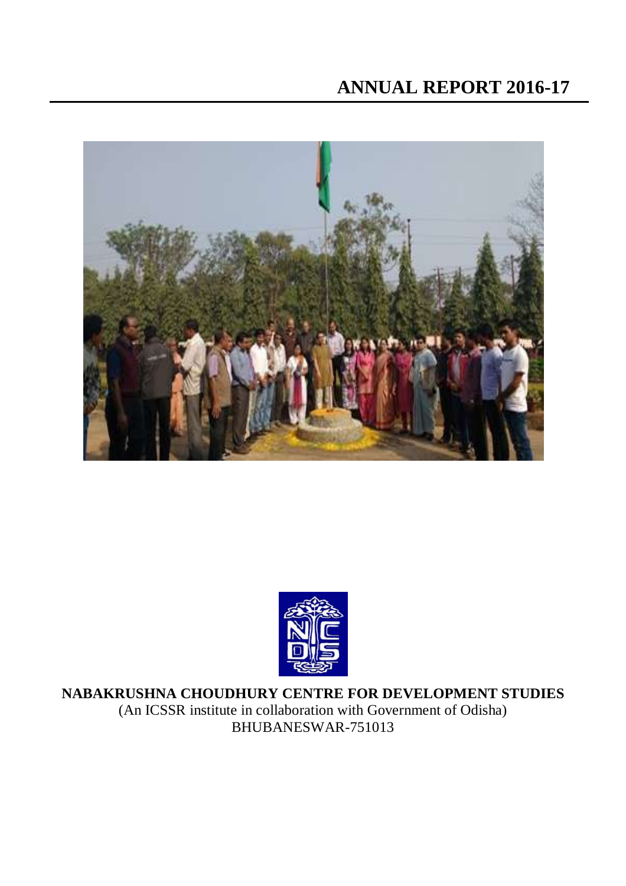



**NABAKRUSHNA CHOUDHURY CENTRE FOR DEVELOPMENT STUDIES** (An ICSSR institute in collaboration with Government of Odisha) BHUBANESWAR-751013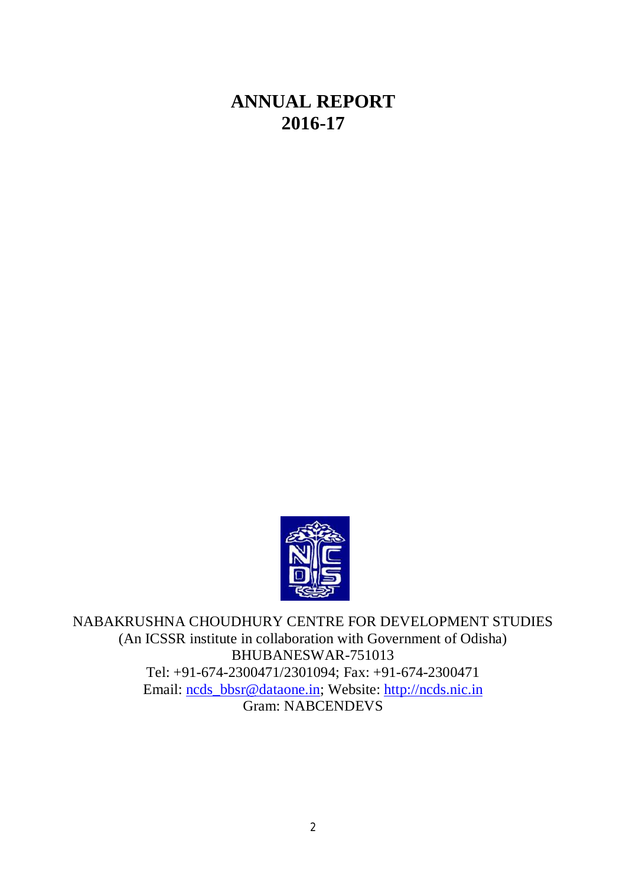# **ANNUAL REPORT 2016-17**



NABAKRUSHNA CHOUDHURY CENTRE FOR DEVELOPMENT STUDIES (An ICSSR institute in collaboration with Government of Odisha) BHUBANESWAR-751013 Tel: +91-674-2300471/2301094; Fax: +91-674-2300471 Email: [ncds\\_bbsr@dataone.in;](mailto:ncds_bbsr@dataone.in;) Website: <http://ncds.nic.in> Gram: NABCENDEVS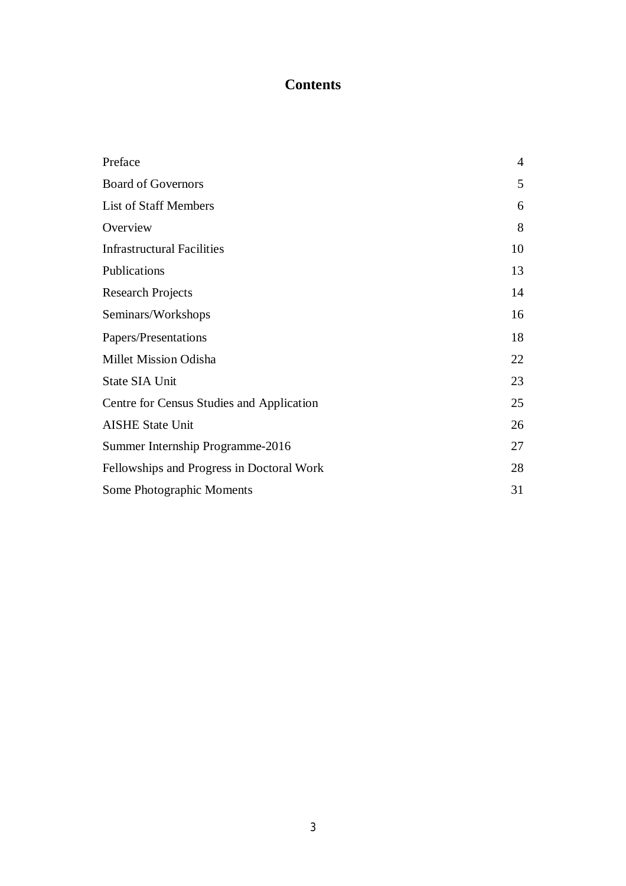## **Contents**

| Preface                                   | $\overline{4}$ |
|-------------------------------------------|----------------|
| <b>Board of Governors</b>                 | 5              |
| <b>List of Staff Members</b>              | 6              |
| Overview                                  | 8              |
| <b>Infrastructural Facilities</b>         | 10             |
| Publications                              | 13             |
| <b>Research Projects</b>                  | 14             |
| Seminars/Workshops                        | 16             |
| Papers/Presentations                      | 18             |
| Millet Mission Odisha                     | 22             |
| <b>State SIA Unit</b>                     | 23             |
| Centre for Census Studies and Application | 25             |
| <b>AISHE State Unit</b>                   | 26             |
| Summer Internship Programme-2016          | 27             |
| Fellowships and Progress in Doctoral Work | 28             |
| Some Photographic Moments                 | 31             |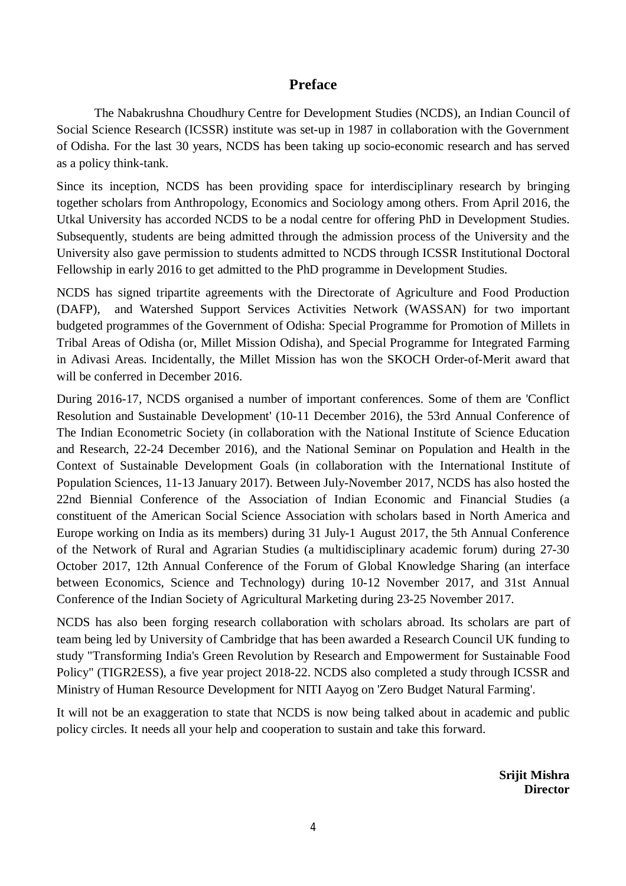#### **Preface**

The Nabakrushna Choudhury Centre for Development Studies (NCDS), an Indian Council of Social Science Research (ICSSR) institute was set-up in 1987 in collaboration with the Government of Odisha. For the last 30 years, NCDS has been taking up socio-economic research and has served as a policy think-tank.

Since its inception, NCDS has been providing space for interdisciplinary research by bringing together scholars from Anthropology, Economics and Sociology among others. From April 2016, the Utkal University has accorded NCDS to be a nodal centre for offering PhD in Development Studies. Subsequently, students are being admitted through the admission process of the University and the University also gave permission to students admitted to NCDS through ICSSR Institutional Doctoral Fellowship in early 2016 to get admitted to the PhD programme in Development Studies.

NCDS has signed tripartite agreements with the Directorate of Agriculture and Food Production (DAFP), and Watershed Support Services Activities Network (WASSAN) for two important budgeted programmes of the Government of Odisha: Special Programme for Promotion of Millets in Tribal Areas of Odisha (or, Millet Mission Odisha), and Special Programme for Integrated Farming in Adivasi Areas. Incidentally, the Millet Mission has won the SKOCH Order-of-Merit award that will be conferred in December 2016.

During 2016-17, NCDS organised a number of important conferences. Some of them are 'Conflict Resolution and Sustainable Development' (10-11 December 2016), the 53rd Annual Conference of The Indian Econometric Society (in collaboration with the National Institute of Science Education and Research, 22-24 December 2016), and the National Seminar on Population and Health in the Context of Sustainable Development Goals (in collaboration with the International Institute of Population Sciences, 11-13 January 2017). Between July-November 2017, NCDS has also hosted the 22nd Biennial Conference of the Association of Indian Economic and Financial Studies (a constituent of the American Social Science Association with scholars based in North America and Europe working on India as its members) during 31 July-1 August 2017, the 5th Annual Conference of the Network of Rural and Agrarian Studies (a multidisciplinary academic forum) during 27-30 October 2017, 12th Annual Conference of the Forum of Global Knowledge Sharing (an interface between Economics, Science and Technology) during 10-12 November 2017, and 31st Annual Conference of the Indian Society of Agricultural Marketing during 23-25 November 2017.

NCDS has also been forging research collaboration with scholars abroad. Its scholars are part of team being led by University of Cambridge that has been awarded a Research Council UK funding to study "Transforming India's Green Revolution by Research and Empowerment for Sustainable Food Policy" (TIGR2ESS), a five year project 2018-22. NCDS also completed a study through ICSSR and Ministry of Human Resource Development for NITI Aayog on 'Zero Budget Natural Farming'.

It will not be an exaggeration to state that NCDS is now being talked about in academic and public policy circles. It needs all your help and cooperation to sustain and take this forward.

> **Srijit Mishra Director**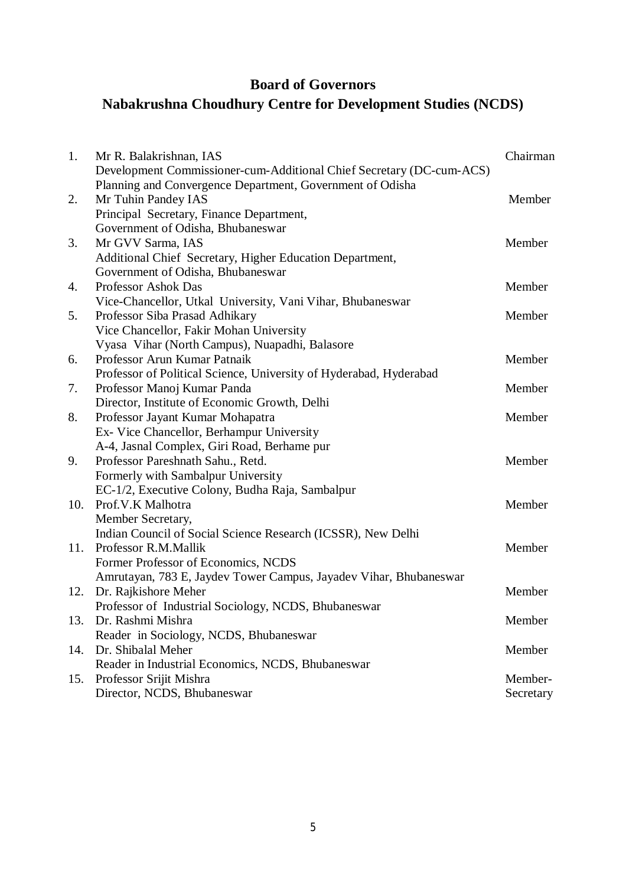## **Board of Governors**

# **Nabakrushna Choudhury Centre for Development Studies (NCDS)**

| 1.  | Mr R. Balakrishnan, IAS                                              | Chairman  |
|-----|----------------------------------------------------------------------|-----------|
|     | Development Commissioner-cum-Additional Chief Secretary (DC-cum-ACS) |           |
|     | Planning and Convergence Department, Government of Odisha            |           |
| 2.  | Mr Tuhin Pandey IAS                                                  | Member    |
|     | Principal Secretary, Finance Department,                             |           |
|     | Government of Odisha, Bhubaneswar                                    |           |
| 3.  | Mr GVV Sarma, IAS                                                    | Member    |
|     | Additional Chief Secretary, Higher Education Department,             |           |
|     | Government of Odisha, Bhubaneswar                                    |           |
| 4.  | <b>Professor Ashok Das</b>                                           | Member    |
|     | Vice-Chancellor, Utkal University, Vani Vihar, Bhubaneswar           |           |
| 5.  | Professor Siba Prasad Adhikary                                       | Member    |
|     | Vice Chancellor, Fakir Mohan University                              |           |
|     | Vyasa Vihar (North Campus), Nuapadhi, Balasore                       |           |
| 6.  | Professor Arun Kumar Patnaik                                         | Member    |
|     | Professor of Political Science, University of Hyderabad, Hyderabad   |           |
| 7.  | Professor Manoj Kumar Panda                                          | Member    |
|     | Director, Institute of Economic Growth, Delhi                        |           |
| 8.  | Professor Jayant Kumar Mohapatra                                     | Member    |
|     | Ex- Vice Chancellor, Berhampur University                            |           |
|     | A-4, Jasnal Complex, Giri Road, Berhame pur                          |           |
| 9.  | Professor Pareshnath Sahu., Retd.                                    | Member    |
|     | Formerly with Sambalpur University                                   |           |
|     | EC-1/2, Executive Colony, Budha Raja, Sambalpur                      |           |
| 10. | Prof.V.K Malhotra                                                    | Member    |
|     | Member Secretary,                                                    |           |
|     | Indian Council of Social Science Research (ICSSR), New Delhi         |           |
| 11. | Professor R.M.Mallik                                                 | Member    |
|     | Former Professor of Economics, NCDS                                  |           |
|     | Amrutayan, 783 E, Jaydev Tower Campus, Jayadev Vihar, Bhubaneswar    |           |
| 12. | Dr. Rajkishore Meher                                                 | Member    |
|     | Professor of Industrial Sociology, NCDS, Bhubaneswar                 |           |
| 13. | Dr. Rashmi Mishra                                                    | Member    |
|     | Reader in Sociology, NCDS, Bhubaneswar                               |           |
| 14. | Dr. Shibalal Meher                                                   | Member    |
|     | Reader in Industrial Economics, NCDS, Bhubaneswar                    |           |
| 15. | Professor Srijit Mishra                                              | Member-   |
|     | Director, NCDS, Bhubaneswar                                          | Secretary |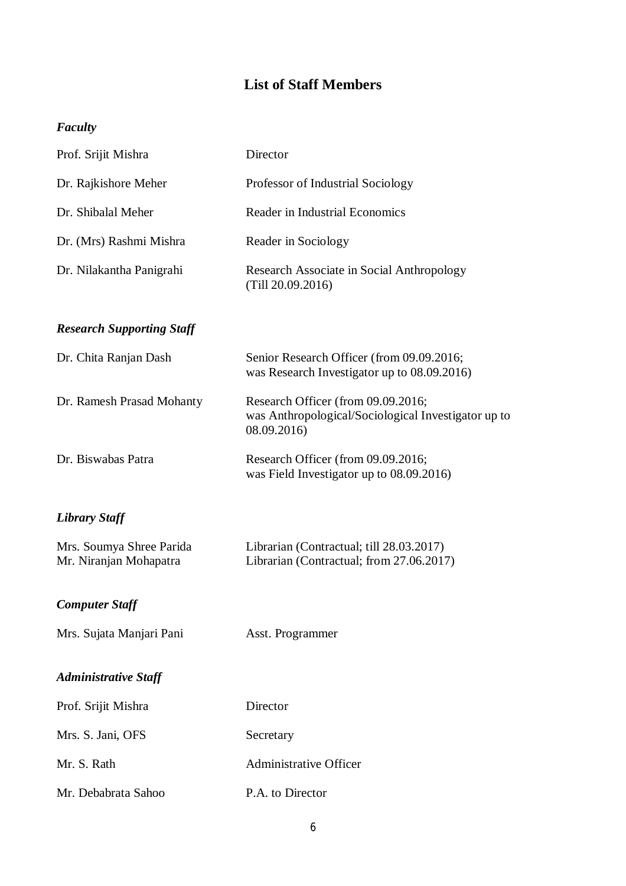## **List of Staff Members**

## *Faculty*

| Prof. Srijit Mishra                                | Director                                                                                                 |
|----------------------------------------------------|----------------------------------------------------------------------------------------------------------|
| Dr. Rajkishore Meher                               | Professor of Industrial Sociology                                                                        |
| Dr. Shibalal Meher                                 | Reader in Industrial Economics                                                                           |
| Dr. (Mrs) Rashmi Mishra                            | Reader in Sociology                                                                                      |
| Dr. Nilakantha Panigrahi                           | Research Associate in Social Anthropology<br>(Till 20.09.2016)                                           |
| <b>Research Supporting Staff</b>                   |                                                                                                          |
| Dr. Chita Ranjan Dash                              | Senior Research Officer (from 09.09.2016;<br>was Research Investigator up to 08.09.2016)                 |
| Dr. Ramesh Prasad Mohanty                          | Research Officer (from 09.09.2016;<br>was Anthropological/Sociological Investigator up to<br>08.09.2016) |
| Dr. Biswabas Patra                                 | Research Officer (from 09.09.2016;<br>was Field Investigator up to 08.09.2016)                           |
| <b>Library Staff</b>                               |                                                                                                          |
| Mrs. Soumya Shree Parida<br>Mr. Niranjan Mohapatra | Librarian (Contractual; till 28.03.2017)<br>Librarian (Contractual; from 27.06.2017)                     |
| <b>Computer Staff</b>                              |                                                                                                          |
| Mrs. Sujata Manjari Pani                           | Asst. Programmer                                                                                         |
| <b>Administrative Staff</b>                        |                                                                                                          |
| Prof. Srijit Mishra                                | Director                                                                                                 |
| Mrs. S. Jani, OFS                                  | Secretary                                                                                                |
| Mr. S. Rath                                        | <b>Administrative Officer</b>                                                                            |
| Mr. Debabrata Sahoo                                | P.A. to Director                                                                                         |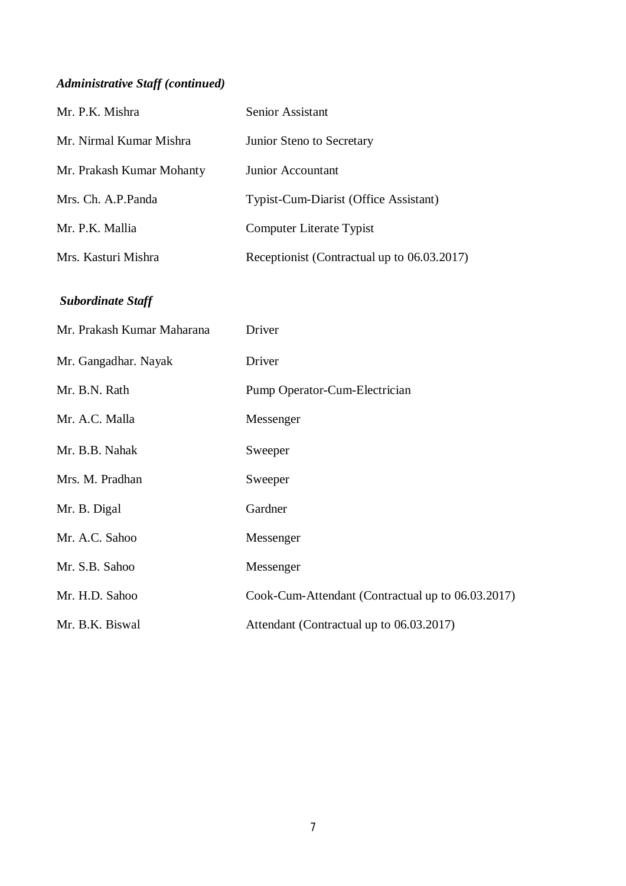## *Administrative Staff (continued)*

| Mr. P.K. Mishra            | Senior Assistant                                  |
|----------------------------|---------------------------------------------------|
| Mr. Nirmal Kumar Mishra    | Junior Steno to Secretary                         |
| Mr. Prakash Kumar Mohanty  | Junior Accountant                                 |
| Mrs. Ch. A.P.Panda         | Typist-Cum-Diarist (Office Assistant)             |
| Mr. P.K. Mallia            | <b>Computer Literate Typist</b>                   |
| Mrs. Kasturi Mishra        | Receptionist (Contractual up to 06.03.2017)       |
| <b>Subordinate Staff</b>   |                                                   |
| Mr. Prakash Kumar Maharana | Driver                                            |
| Mr. Gangadhar. Nayak       | Driver                                            |
| Mr. B.N. Rath              | Pump Operator-Cum-Electrician                     |
| Mr. A.C. Malla             | Messenger                                         |
| Mr. B.B. Nahak             | Sweeper                                           |
| Mrs. M. Pradhan            | Sweeper                                           |
| Mr. B. Digal               | Gardner                                           |
| Mr. A.C. Sahoo             | Messenger                                         |
| Mr. S.B. Sahoo             | Messenger                                         |
| Mr. H.D. Sahoo             | Cook-Cum-Attendant (Contractual up to 06.03.2017) |
| Mr. B.K. Biswal            | Attendant (Contractual up to 06.03.2017)          |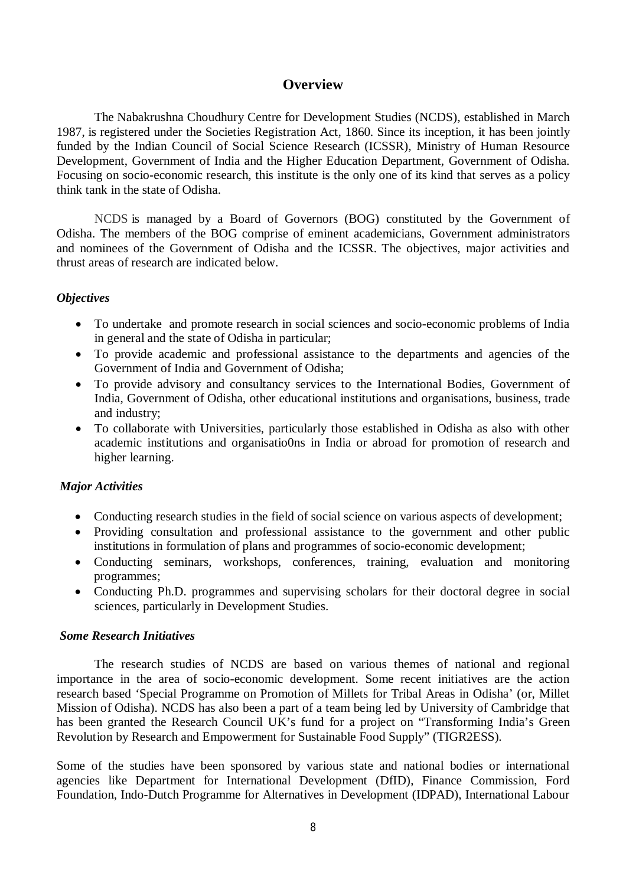#### **Overview**

The Nabakrushna Choudhury Centre for Development Studies (NCDS), established in March 1987, is registered under the Societies Registration Act, 1860. Since its inception, it has been jointly funded by the Indian Council of Social Science Research (ICSSR), Ministry of Human Resource Development, Government of India and the Higher Education Department, Government of Odisha. Focusing on socio-economic research, this institute is the only one of its kind that serves as a policy think tank in the state of Odisha.

NCDS is managed by a Board of Governors (BOG) constituted by the Government of Odisha. The members of the BOG comprise of eminent academicians, Government administrators and nominees of the Government of Odisha and the ICSSR. The objectives, major activities and thrust areas of research are indicated below.

#### *Objectives*

- To undertake and promote research in social sciences and socio-economic problems of India in general and the state of Odisha in particular;
- To provide academic and professional assistance to the departments and agencies of the Government of India and Government of Odisha;
- To provide advisory and consultancy services to the International Bodies, Government of India, Government of Odisha, other educational institutions and organisations, business, trade and industry;
- To collaborate with Universities, particularly those established in Odisha as also with other academic institutions and organisatio0ns in India or abroad for promotion of research and higher learning.

#### *Major Activities*

- Conducting research studies in the field of social science on various aspects of development;
- Providing consultation and professional assistance to the government and other public institutions in formulation of plans and programmes of socio-economic development;
- Conducting seminars, workshops, conferences, training, evaluation and monitoring programmes;
- Conducting Ph.D. programmes and supervising scholars for their doctoral degree in social sciences, particularly in Development Studies.

#### *Some Research Initiatives*

The research studies of NCDS are based on various themes of national and regional importance in the area of socio-economic development. Some recent initiatives are the action research based 'Special Programme on Promotion of Millets for Tribal Areas in Odisha' (or, Millet Mission of Odisha). NCDS has also been a part of a team being led by University of Cambridge that has been granted the Research Council UK's fund for a project on "Transforming India's Green Revolution by Research and Empowerment for Sustainable Food Supply" (TIGR2ESS).

Some of the studies have been sponsored by various state and national bodies or international agencies like Department for International Development (DfID), Finance Commission, Ford Foundation, Indo-Dutch Programme for Alternatives in Development (IDPAD), International Labour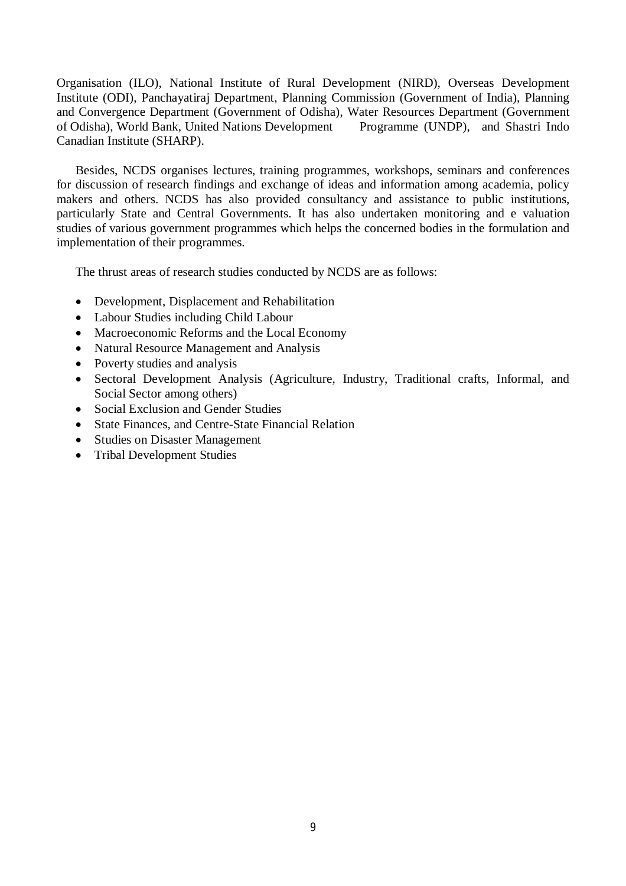Organisation (ILO), National Institute of Rural Development (NIRD), Overseas Development Institute (ODI), Panchayatiraj Department, Planning Commission (Government of India), Planning and Convergence Department (Government of Odisha), Water Resources Department (Government of Odisha), World Bank, United Nations Development Programme (UNDP), and Shastri Indo Canadian Institute (SHARP).

Besides, NCDS organises lectures, training programmes, workshops, seminars and conferences for discussion of research findings and exchange of ideas and information among academia, policy makers and others. NCDS has also provided consultancy and assistance to public institutions, particularly State and Central Governments. It has also undertaken monitoring and e valuation studies of various government programmes which helps the concerned bodies in the formulation and implementation of their programmes.

The thrust areas of research studies conducted by NCDS are as follows:

- Development, Displacement and Rehabilitation
- Labour Studies including Child Labour
- Macroeconomic Reforms and the Local Economy
- Natural Resource Management and Analysis
- Poverty studies and analysis
- Sectoral Development Analysis (Agriculture, Industry, Traditional crafts, Informal, and Social Sector among others)
- Social Exclusion and Gender Studies
- State Finances, and Centre-State Financial Relation
- Studies on Disaster Management
- Tribal Development Studies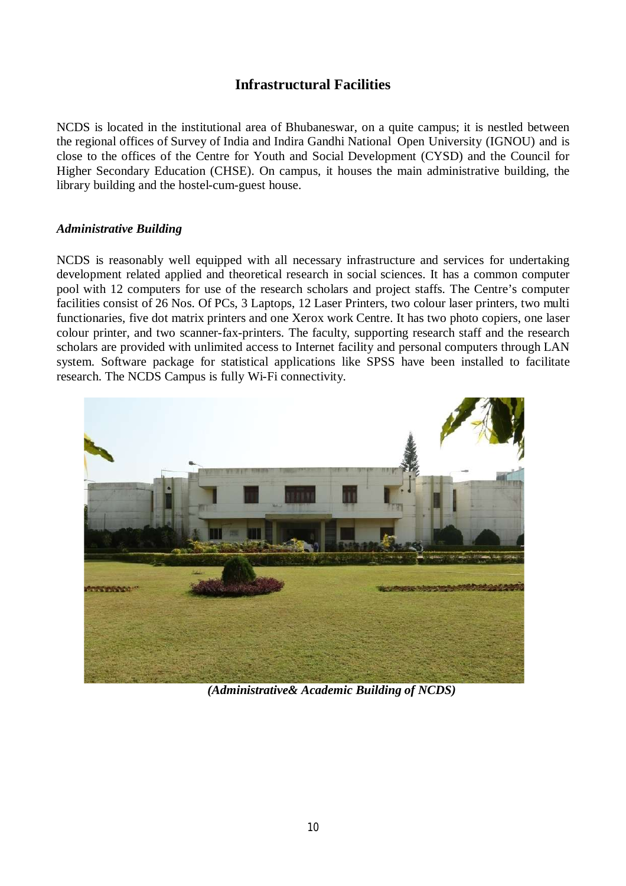## **Infrastructural Facilities**

NCDS is located in the institutional area of Bhubaneswar, on a quite campus; it is nestled between the regional offices of Survey of India and Indira Gandhi National Open University (IGNOU) and is close to the offices of the Centre for Youth and Social Development (CYSD) and the Council for Higher Secondary Education (CHSE). On campus, it houses the main administrative building, the library building and the hostel-cum-guest house.

#### *Administrative Building*

NCDS is reasonably well equipped with all necessary infrastructure and services for undertaking development related applied and theoretical research in social sciences. It has a common computer pool with 12 computers for use of the research scholars and project staffs. The Centre's computer facilities consist of 26 Nos. Of PCs, 3 Laptops, 12 Laser Printers, two colour laser printers, two multi functionaries, five dot matrix printers and one Xerox work Centre. It has two photo copiers, one laser colour printer, and two scanner-fax-printers. The faculty, supporting research staff and the research scholars are provided with unlimited access to Internet facility and personal computers through LAN system. Software package for statistical applications like SPSS have been installed to facilitate research. The NCDS Campus is fully Wi-Fi connectivity.



*(Administrative& Academic Building of NCDS)*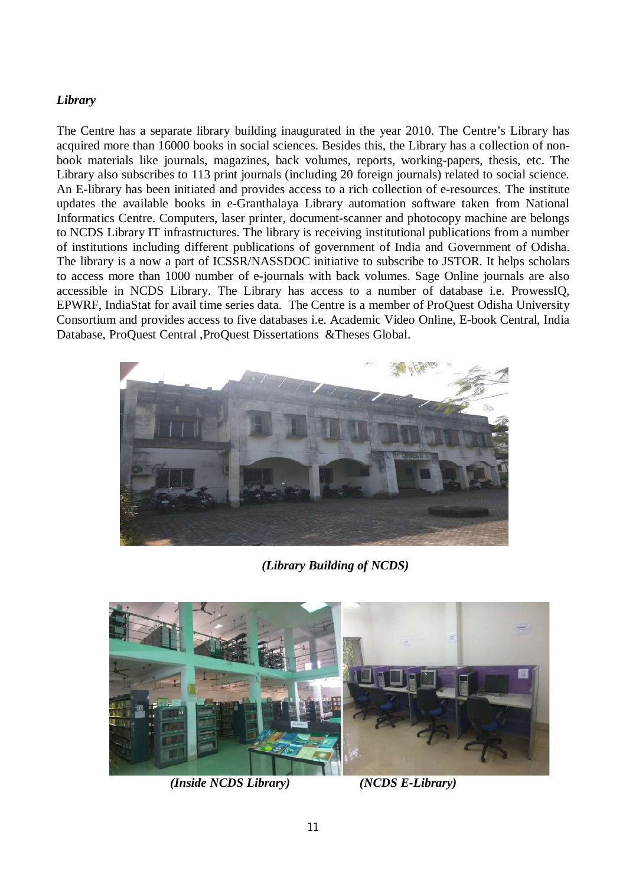#### *Library*

The Centre has a separate library building inaugurated in the year 2010. The Centre's Library has acquired more than 16000 books in social sciences. Besides this, the Library has a collection of nonbook materials like journals, magazines, back volumes, reports, working-papers, thesis, etc. The Library also subscribes to 113 print journals (including 20 foreign journals) related to social science. An E-library has been initiated and provides access to a rich collection of e-resources. The institute updates the available books in e-Granthalaya Library automation software taken from National Informatics Centre. Computers, laser printer, document-scanner and photocopy machine are belongs to NCDS Library IT infrastructures. The library is receiving institutional publications from a number of institutions including different publications of government of India and Government of Odisha. The library is a now a part of ICSSR/NASSDOC initiative to subscribe to JSTOR. It helps scholars to access more than 1000 number of e-journals with back volumes. Sage Online journals are also accessible in NCDS Library. The Library has access to a number of database i.e. ProwessIQ, EPWRF, IndiaStat for avail time series data. The Centre is a member of ProQuest Odisha University Consortium and provides access to five databases i.e. Academic Video Online, E-book Central, India Database, ProQuest Central ,ProQuest Dissertations &Theses Global.



*(Library Building of NCDS)*



*(Inside NCDS Library) (NCDS E-Library)*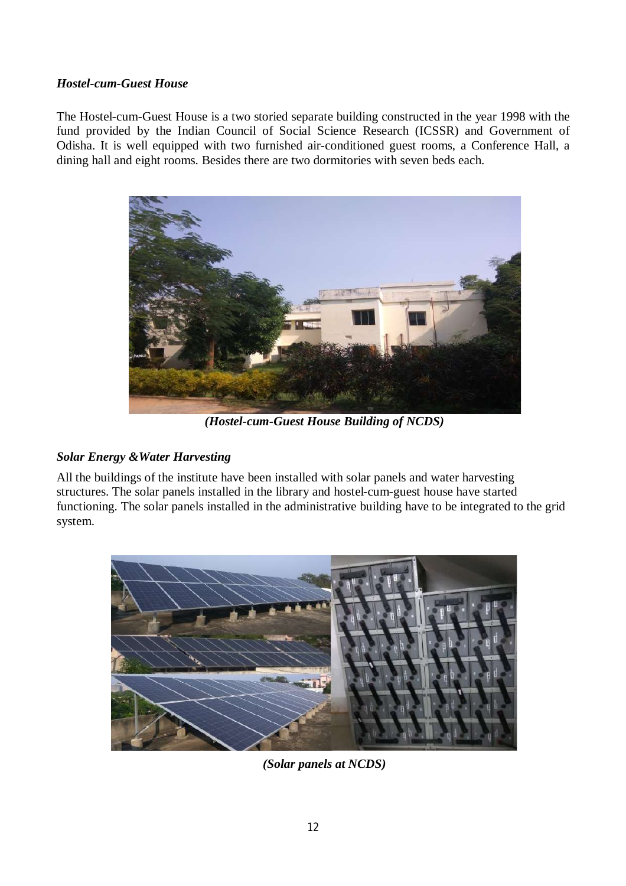#### *Hostel-cum-Guest House*

The Hostel-cum-Guest House is a two storied separate building constructed in the year 1998 with the fund provided by the Indian Council of Social Science Research (ICSSR) and Government of Odisha. It is well equipped with two furnished air-conditioned guest rooms, a Conference Hall, a dining hall and eight rooms. Besides there are two dormitories with seven beds each.



*(Hostel-cum-Guest House Building of NCDS)*

### *Solar Energy &Water Harvesting*

All the buildings of the institute have been installed with solar panels and water harvesting structures. The solar panels installed in the library and hostel-cum-guest house have started functioning. The solar panels installed in the administrative building have to be integrated to the grid system.



*(Solar panels at NCDS)*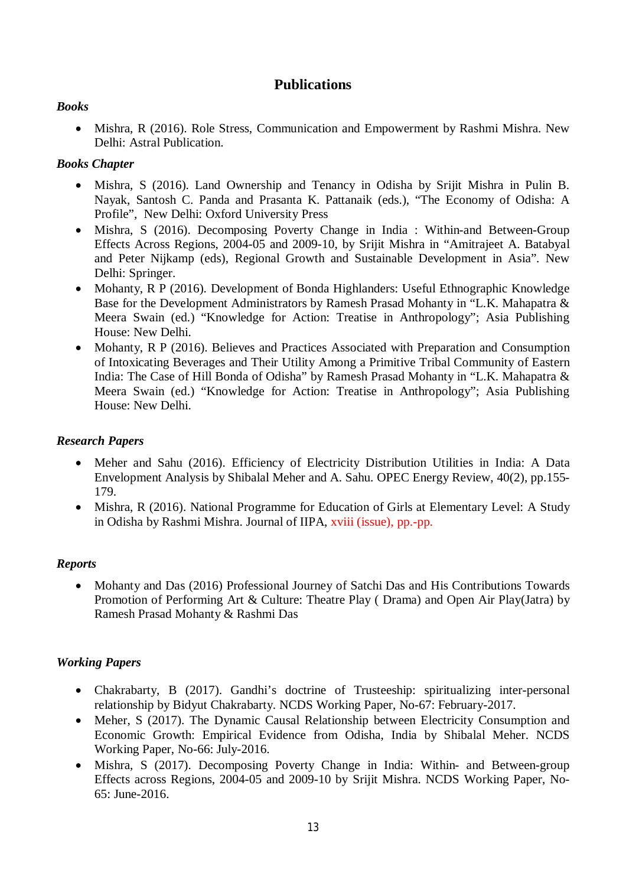## **Publications**

#### *Books*

• Mishra, R (2016). Role Stress, Communication and Empowerment by Rashmi Mishra. New Delhi: Astral Publication.

#### *Books Chapter*

- Mishra, S (2016). Land Ownership and Tenancy in Odisha by Srijit Mishra in Pulin B. Nayak, Santosh C. Panda and Prasanta K. Pattanaik (eds.), "The Economy of Odisha: A Profile", New Delhi: Oxford University Press
- Mishra, S (2016). Decomposing Poverty Change in India : Within-and Between-Group Effects Across Regions, 2004-05 and 2009-10, by Srijit Mishra in "Amitrajeet A. Batabyal and Peter Nijkamp (eds), Regional Growth and Sustainable Development in Asia". New Delhi: Springer.
- Mohanty, R P (2016). Development of Bonda Highlanders: Useful Ethnographic Knowledge Base for the Development Administrators by Ramesh Prasad Mohanty in "L.K. Mahapatra & Meera Swain (ed.) "Knowledge for Action: Treatise in Anthropology"; Asia Publishing House: New Delhi.
- Mohanty, R P (2016). Believes and Practices Associated with Preparation and Consumption of Intoxicating Beverages and Their Utility Among a Primitive Tribal Community of Eastern India: The Case of Hill Bonda of Odisha" by Ramesh Prasad Mohanty in "L.K. Mahapatra & Meera Swain (ed.) "Knowledge for Action: Treatise in Anthropology"; Asia Publishing House: New Delhi.

#### *Research Papers*

- Meher and Sahu (2016). Efficiency of Electricity Distribution Utilities in India: A Data Envelopment Analysis by Shibalal Meher and A. Sahu. OPEC Energy Review, 40(2), pp.155- 179.
- Mishra, R (2016). National Programme for Education of Girls at Elementary Level: A Study in Odisha by Rashmi Mishra. Journal of IIPA, xviii (issue), pp.-pp.

### *Reports*

• Mohanty and Das (2016) Professional Journey of Satchi Das and His Contributions Towards Promotion of Performing Art & Culture: Theatre Play ( Drama) and Open Air Play(Jatra) by Ramesh Prasad Mohanty & Rashmi Das

### *Working Papers*

- Chakrabarty, B (2017). Gandhi's doctrine of Trusteeship: spiritualizing inter-personal relationship by Bidyut Chakrabarty. NCDS Working Paper, No-67: February-2017.
- Meher, S (2017). The Dynamic Causal Relationship between Electricity Consumption and Economic Growth: Empirical Evidence from Odisha, India by Shibalal Meher. NCDS Working Paper, No-66: July-2016.
- Mishra, S (2017). Decomposing Poverty Change in India: Within- and Between-group Effects across Regions, 2004-05 and 2009-10 by Srijit Mishra. NCDS Working Paper, No-65: June-2016.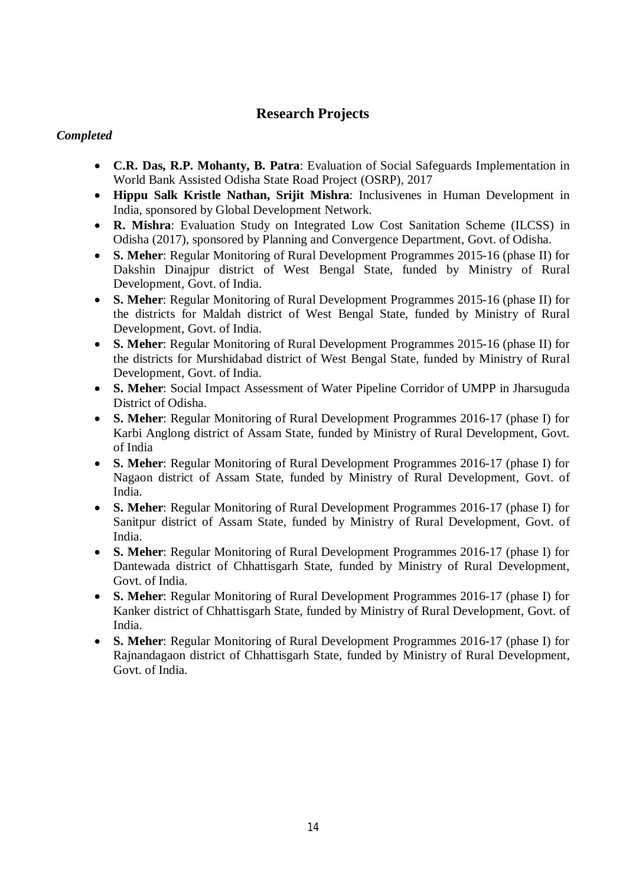## **Research Projects**

#### *Completed*

- **C.R. Das, R.P. Mohanty, B. Patra**: Evaluation of Social Safeguards Implementation in World Bank Assisted Odisha State Road Project (OSRP), 2017
- **Hippu Salk Kristle Nathan, Srijit Mishra**: Inclusivenes in Human Development in India, sponsored by Global Development Network.
- **R. Mishra**: Evaluation Study on Integrated Low Cost Sanitation Scheme (ILCSS) in Odisha (2017), sponsored by Planning and Convergence Department, Govt. of Odisha.
- **S. Meher**: Regular Monitoring of Rural Development Programmes 2015-16 (phase II) for Dakshin Dinajpur district of West Bengal State, funded by Ministry of Rural Development, Govt. of India.
- **S. Meher**: Regular Monitoring of Rural Development Programmes 2015-16 (phase II) for the districts for Maldah district of West Bengal State, funded by Ministry of Rural Development, Govt. of India.
- **S. Meher**: Regular Monitoring of Rural Development Programmes 2015-16 (phase II) for the districts for Murshidabad district of West Bengal State, funded by Ministry of Rural Development, Govt. of India.
- **S. Meher**: Social Impact Assessment of Water Pipeline Corridor of UMPP in Jharsuguda District of Odisha.
- **S. Meher**: Regular Monitoring of Rural Development Programmes 2016-17 (phase I) for Karbi Anglong district of Assam State, funded by Ministry of Rural Development, Govt. of India
- **S. Meher**: Regular Monitoring of Rural Development Programmes 2016-17 (phase I) for Nagaon district of Assam State, funded by Ministry of Rural Development, Govt. of India.
- **S. Meher**: Regular Monitoring of Rural Development Programmes 2016-17 (phase I) for Sanitpur district of Assam State, funded by Ministry of Rural Development, Govt. of India.
- **S. Meher**: Regular Monitoring of Rural Development Programmes 2016-17 (phase I) for Dantewada district of Chhattisgarh State, funded by Ministry of Rural Development, Govt. of India.
- **S. Meher**: Regular Monitoring of Rural Development Programmes 2016-17 (phase I) for Kanker district of Chhattisgarh State, funded by Ministry of Rural Development, Govt. of India.
- **S. Meher**: Regular Monitoring of Rural Development Programmes 2016-17 (phase I) for Rajnandagaon district of Chhattisgarh State, funded by Ministry of Rural Development, Govt. of India.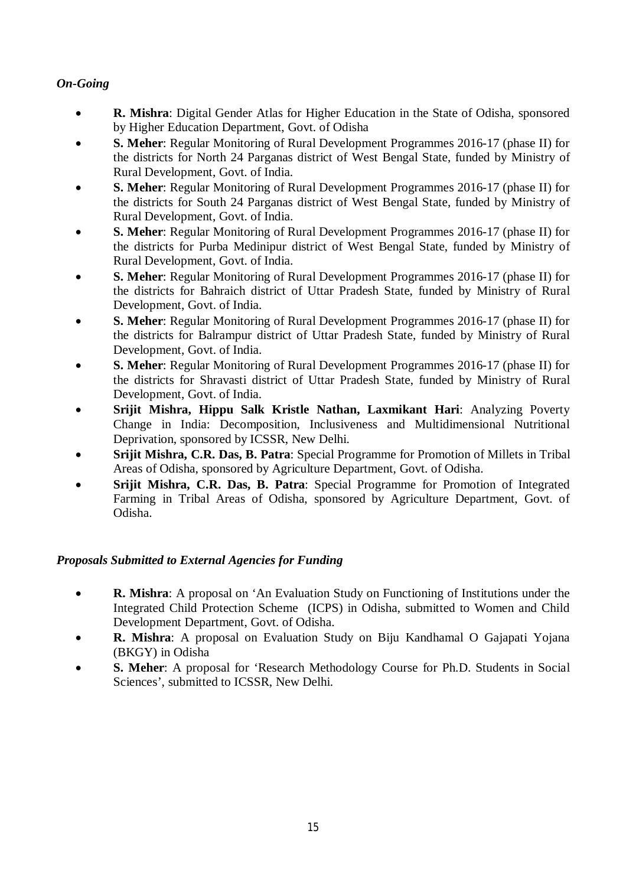## *On-Going*

- **R. Mishra**: Digital Gender Atlas for Higher Education in the State of Odisha, sponsored by Higher Education Department, Govt. of Odisha
- **S. Meher**: Regular Monitoring of Rural Development Programmes 2016-17 (phase II) for the districts for North 24 Parganas district of West Bengal State, funded by Ministry of Rural Development, Govt. of India.
- **S. Meher**: Regular Monitoring of Rural Development Programmes 2016-17 (phase II) for the districts for South 24 Parganas district of West Bengal State, funded by Ministry of Rural Development, Govt. of India.
- **S. Meher**: Regular Monitoring of Rural Development Programmes 2016-17 (phase II) for the districts for Purba Medinipur district of West Bengal State, funded by Ministry of Rural Development, Govt. of India.
- **S. Meher**: Regular Monitoring of Rural Development Programmes 2016-17 (phase II) for the districts for Bahraich district of Uttar Pradesh State, funded by Ministry of Rural Development, Govt. of India.
- **S. Meher**: Regular Monitoring of Rural Development Programmes 2016-17 (phase II) for the districts for Balrampur district of Uttar Pradesh State, funded by Ministry of Rural Development, Govt. of India.
- **S. Meher**: Regular Monitoring of Rural Development Programmes 2016-17 (phase II) for the districts for Shravasti district of Uttar Pradesh State, funded by Ministry of Rural Development, Govt. of India.
- **Srijit Mishra, Hippu Salk Kristle Nathan, Laxmikant Hari**: Analyzing Poverty Change in India: Decomposition, Inclusiveness and Multidimensional Nutritional Deprivation, sponsored by ICSSR, New Delhi.
- **Srijit Mishra, C.R. Das, B. Patra**: Special Programme for Promotion of Millets in Tribal Areas of Odisha, sponsored by Agriculture Department, Govt. of Odisha.
- **Srijit Mishra, C.R. Das, B. Patra**: Special Programme for Promotion of Integrated Farming in Tribal Areas of Odisha, sponsored by Agriculture Department, Govt. of Odisha.

### *Proposals Submitted to External Agencies for Funding*

- **R. Mishra**: A proposal on 'An Evaluation Study on Functioning of Institutions under the Integrated Child Protection Scheme (ICPS) in Odisha, submitted to Women and Child Development Department, Govt. of Odisha.
- **R. Mishra**: A proposal on Evaluation Study on Biju Kandhamal O Gajapati Yojana (BKGY) in Odisha
- **S. Meher**: A proposal for 'Research Methodology Course for Ph.D. Students in Social Sciences', submitted to ICSSR, New Delhi.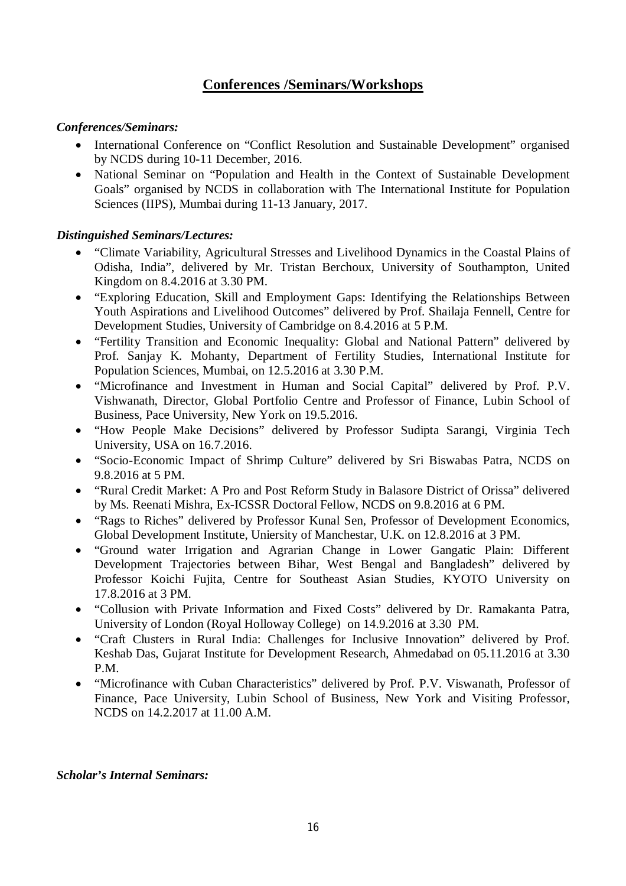## **Conferences /Seminars/Workshops**

#### *Conferences/Seminars:*

- International Conference on "Conflict Resolution and Sustainable Development" organised by NCDS during 10-11 December, 2016.
- National Seminar on "Population and Health in the Context of Sustainable Development Goals" organised by NCDS in collaboration with The International Institute for Population Sciences (IIPS), Mumbai during 11-13 January, 2017.

#### *Distinguished Seminars/Lectures:*

- "Climate Variability, Agricultural Stresses and Livelihood Dynamics in the Coastal Plains of Odisha, India", delivered by Mr. Tristan Berchoux, University of Southampton, United Kingdom on 8.4.2016 at 3.30 PM.
- "Exploring Education, Skill and Employment Gaps: Identifying the Relationships Between Youth Aspirations and Livelihood Outcomes" delivered by Prof. Shailaja Fennell, Centre for Development Studies, University of Cambridge on 8.4.2016 at 5 P.M.
- "Fertility Transition and Economic Inequality: Global and National Pattern" delivered by Prof. Sanjay K. Mohanty, Department of Fertility Studies, International Institute for Population Sciences, Mumbai, on 12.5.2016 at 3.30 P.M.
- "Microfinance and Investment in Human and Social Capital" delivered by Prof. P.V. Vishwanath, Director, Global Portfolio Centre and Professor of Finance, Lubin School of Business, Pace University, New York on 19.5.2016.
- "How People Make Decisions" delivered by Professor Sudipta Sarangi, Virginia Tech University, USA on 16.7.2016.
- "Socio-Economic Impact of Shrimp Culture" delivered by Sri Biswabas Patra, NCDS on 9.8.2016 at 5 PM.
- "Rural Credit Market: A Pro and Post Reform Study in Balasore District of Orissa" delivered by Ms. Reenati Mishra, Ex-ICSSR Doctoral Fellow, NCDS on 9.8.2016 at 6 PM.
- "Rags to Riches" delivered by Professor Kunal Sen, Professor of Development Economics, Global Development Institute, Uniersity of Manchestar, U.K. on 12.8.2016 at 3 PM.
- "Ground water Irrigation and Agrarian Change in Lower Gangatic Plain: Different Development Trajectories between Bihar, West Bengal and Bangladesh" delivered by Professor Koichi Fujita, Centre for Southeast Asian Studies, KYOTO University on 17.8.2016 at 3 PM.
- "Collusion with Private Information and Fixed Costs" delivered by Dr. Ramakanta Patra, University of London (Royal Holloway College) on 14.9.2016 at 3.30 PM.
- "Craft Clusters in Rural India: Challenges for Inclusive Innovation" delivered by Prof. Keshab Das, Gujarat Institute for Development Research, Ahmedabad on 05.11.2016 at 3.30 P.M.
- "Microfinance with Cuban Characteristics" delivered by Prof. P.V. Viswanath, Professor of Finance, Pace University, Lubin School of Business, New York and Visiting Professor, NCDS on 14.2.2017 at 11.00 A.M.

#### *Scholar's Internal Seminars:*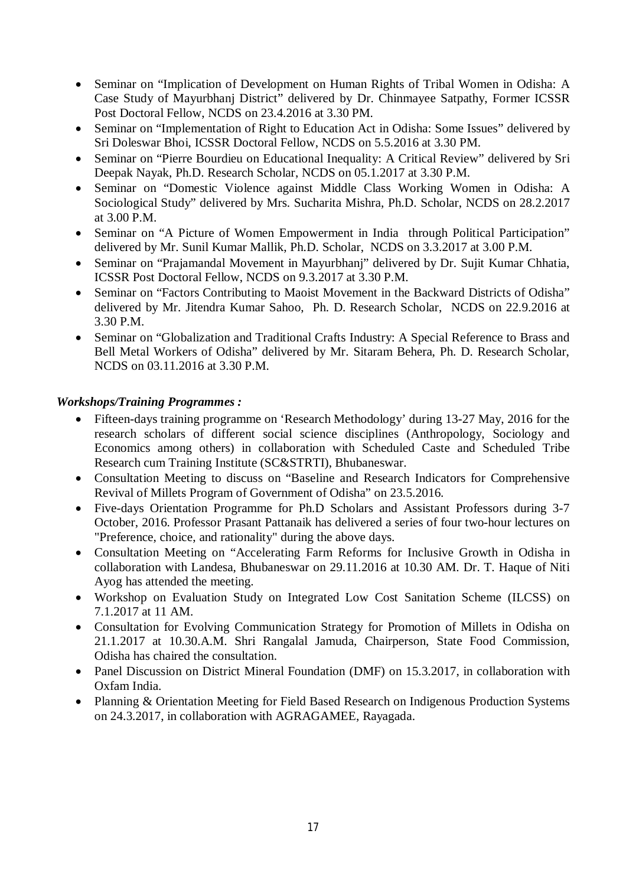- Seminar on "Implication of Development on Human Rights of Tribal Women in Odisha: A Case Study of Mayurbhanj District" delivered by Dr. Chinmayee Satpathy, Former ICSSR Post Doctoral Fellow, NCDS on 23.4.2016 at 3.30 PM.
- Seminar on "Implementation of Right to Education Act in Odisha: Some Issues" delivered by Sri Doleswar Bhoi, ICSSR Doctoral Fellow, NCDS on 5.5.2016 at 3.30 PM.
- Seminar on "Pierre Bourdieu on Educational Inequality: A Critical Review" delivered by Sri Deepak Nayak, Ph.D. Research Scholar, NCDS on 05.1.2017 at 3.30 P.M.
- Seminar on "Domestic Violence against Middle Class Working Women in Odisha: A Sociological Study" delivered by Mrs. Sucharita Mishra, Ph.D. Scholar, NCDS on 28.2.2017 at 3.00 P.M.
- Seminar on "A Picture of Women Empowerment in India through Political Participation" delivered by Mr. Sunil Kumar Mallik, Ph.D. Scholar, NCDS on 3.3.2017 at 3.00 P.M.
- Seminar on "Prajamandal Movement in Mayurbhanj" delivered by Dr. Sujit Kumar Chhatia, ICSSR Post Doctoral Fellow, NCDS on 9.3.2017 at 3.30 P.M.
- Seminar on "Factors Contributing to Maoist Movement in the Backward Districts of Odisha" delivered by Mr. Jitendra Kumar Sahoo, Ph. D. Research Scholar, NCDS on 22.9.2016 at 3.30 P.M.
- Seminar on "Globalization and Traditional Crafts Industry: A Special Reference to Brass and Bell Metal Workers of Odisha" delivered by Mr. Sitaram Behera, Ph. D. Research Scholar, NCDS on 03.11.2016 at 3.30 P.M.

#### *Workshops/Training Programmes :*

- Fifteen-days training programme on 'Research Methodology' during 13-27 May, 2016 for the research scholars of different social science disciplines (Anthropology, Sociology and Economics among others) in collaboration with Scheduled Caste and Scheduled Tribe Research cum Training Institute (SC&STRTI), Bhubaneswar.
- Consultation Meeting to discuss on "Baseline and Research Indicators for Comprehensive Revival of Millets Program of Government of Odisha" on 23.5.2016.
- Five-days Orientation Programme for Ph.D Scholars and Assistant Professors during 3-7 October, 2016. Professor Prasant Pattanaik has delivered a series of four two-hour lectures on "Preference, choice, and rationality" during the above days.
- Consultation Meeting on "Accelerating Farm Reforms for Inclusive Growth in Odisha in collaboration with Landesa, Bhubaneswar on 29.11.2016 at 10.30 AM. Dr. T. Haque of Niti Ayog has attended the meeting.
- Workshop on Evaluation Study on Integrated Low Cost Sanitation Scheme (ILCSS) on 7.1.2017 at 11 AM.
- Consultation for Evolving Communication Strategy for Promotion of Millets in Odisha on 21.1.2017 at 10.30.A.M. Shri Rangalal Jamuda, Chairperson, State Food Commission, Odisha has chaired the consultation.
- Panel Discussion on District Mineral Foundation (DMF) on 15.3.2017, in collaboration with Oxfam India.
- Planning & Orientation Meeting for Field Based Research on Indigenous Production Systems on 24.3.2017, in collaboration with AGRAGAMEE, Rayagada.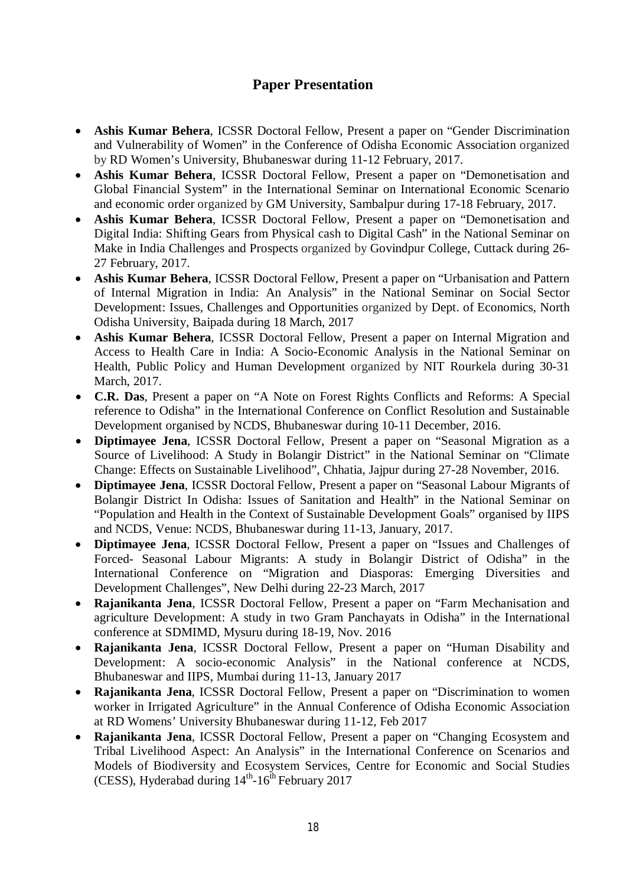## **Paper Presentation**

- **Ashis Kumar Behera**, ICSSR Doctoral Fellow, Present a paper on "Gender Discrimination and Vulnerability of Women" in the Conference of Odisha Economic Association organized by RD Women's University, Bhubaneswar during 11-12 February, 2017.
- **Ashis Kumar Behera**, ICSSR Doctoral Fellow, Present a paper on "Demonetisation and Global Financial System" in the International Seminar on International Economic Scenario and economic order organized by GM University, Sambalpur during 17-18 February, 2017.
- **Ashis Kumar Behera**, ICSSR Doctoral Fellow, Present a paper on "Demonetisation and Digital India: Shifting Gears from Physical cash to Digital Cash" in the National Seminar on Make in India Challenges and Prospects organized by Govindpur College, Cuttack during 26- 27 February, 2017.
- **Ashis Kumar Behera**, ICSSR Doctoral Fellow, Present a paper on "Urbanisation and Pattern of Internal Migration in India: An Analysis" in the National Seminar on Social Sector Development: Issues, Challenges and Opportunities organized by Dept. of Economics, North Odisha University, Baipada during 18 March, 2017
- **Ashis Kumar Behera**, ICSSR Doctoral Fellow, Present a paper on Internal Migration and Access to Health Care in India: A Socio-Economic Analysis in the National Seminar on Health, Public Policy and Human Development organized by NIT Rourkela during 30-31 March, 2017.
- **C.R. Das**, Present a paper on "A Note on Forest Rights Conflicts and Reforms: A Special reference to Odisha" in the International Conference on Conflict Resolution and Sustainable Development organised by NCDS, Bhubaneswar during 10-11 December, 2016.
- **Diptimayee Jena**, ICSSR Doctoral Fellow, Present a paper on "Seasonal Migration as a Source of Livelihood: A Study in Bolangir District" in the National Seminar on "Climate Change: Effects on Sustainable Livelihood", Chhatia, Jajpur during 27-28 November, 2016.
- **Diptimayee Jena**, ICSSR Doctoral Fellow, Present a paper on "Seasonal Labour Migrants of Bolangir District In Odisha: Issues of Sanitation and Health" in the National Seminar on "Population and Health in the Context of Sustainable Development Goals" organised by IIPS and NCDS, Venue: NCDS, Bhubaneswar during 11-13, January, 2017.
- **Diptimayee Jena**, ICSSR Doctoral Fellow, Present a paper on "Issues and Challenges of Forced- Seasonal Labour Migrants: A study in Bolangir District of Odisha" in the International Conference on "Migration and Diasporas: Emerging Diversities and Development Challenges", New Delhi during 22-23 March, 2017
- **Rajanikanta Jena**, ICSSR Doctoral Fellow, Present a paper on "Farm Mechanisation and agriculture Development: A study in two Gram Panchayats in Odisha" in the International conference at SDMIMD, Mysuru during 18-19, Nov. 2016
- **Rajanikanta Jena**, ICSSR Doctoral Fellow, Present a paper on "Human Disability and Development: A socio-economic Analysis" in the National conference at NCDS, Bhubaneswar and IIPS, Mumbai during 11-13, January 2017
- **Rajanikanta Jena**, ICSSR Doctoral Fellow, Present a paper on "Discrimination to women worker in Irrigated Agriculture" in the Annual Conference of Odisha Economic Association at RD Womens' University Bhubaneswar during 11-12, Feb 2017
- **Rajanikanta Jena**, ICSSR Doctoral Fellow, Present a paper on "Changing Ecosystem and Tribal Livelihood Aspect: An Analysis" in the International Conference on Scenarios and Models of Biodiversity and Ecosystem Services, Centre for Economic and Social Studies (CESS), Hyderabad during  $14<sup>th</sup>$ -16<sup>th</sup> February 2017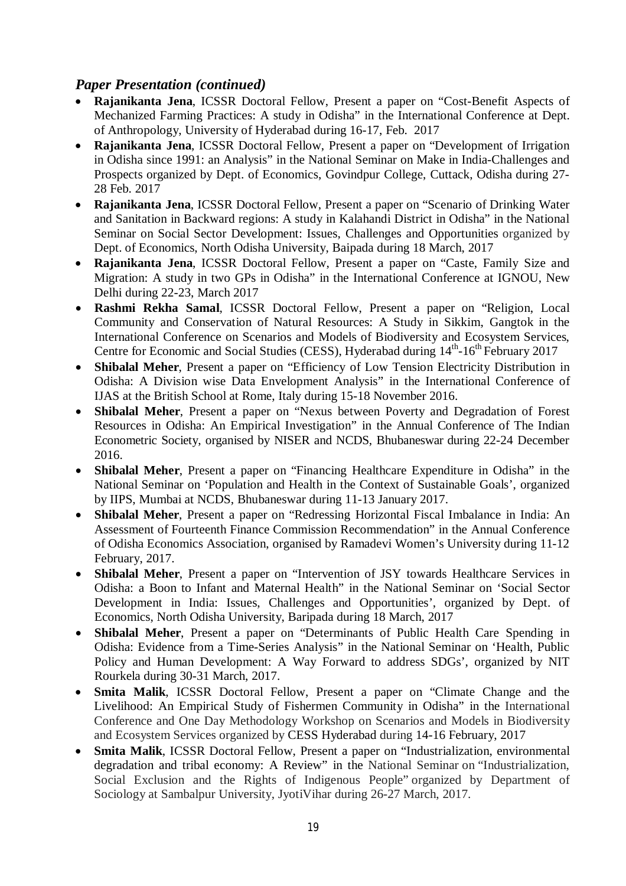## *Paper Presentation (continued)*

- **Rajanikanta Jena**, ICSSR Doctoral Fellow, Present a paper on "Cost-Benefit Aspects of Mechanized Farming Practices: A study in Odisha" in the International Conference at Dept. of Anthropology, University of Hyderabad during 16-17, Feb. 2017
- **Rajanikanta Jena**, ICSSR Doctoral Fellow, Present a paper on "Development of Irrigation in Odisha since 1991: an Analysis" in the National Seminar on Make in India-Challenges and Prospects organized by Dept. of Economics, Govindpur College, Cuttack, Odisha during 27- 28 Feb. 2017
- **Rajanikanta Jena**, ICSSR Doctoral Fellow, Present a paper on "Scenario of Drinking Water and Sanitation in Backward regions: A study in Kalahandi District in Odisha" in the National Seminar on Social Sector Development: Issues, Challenges and Opportunities organized by Dept. of Economics, North Odisha University, Baipada during 18 March, 2017
- **Rajanikanta Jena**, ICSSR Doctoral Fellow, Present a paper on "Caste, Family Size and Migration: A study in two GPs in Odisha" in the International Conference at IGNOU, New Delhi during 22-23, March 2017
- **Rashmi Rekha Samal**, ICSSR Doctoral Fellow, Present a paper on "Religion, Local Community and Conservation of Natural Resources: A Study in Sikkim, Gangtok in the International Conference on Scenarios and Models of Biodiversity and Ecosystem Services, Centre for Economic and Social Studies (CESS), Hyderabad during 14<sup>th</sup>-16<sup>th</sup> February 2017
- **Shibalal Meher**, Present a paper on "Efficiency of Low Tension Electricity Distribution in Odisha: A Division wise Data Envelopment Analysis" in the International Conference of IJAS at the British School at Rome, Italy during 15-18 November 2016.
- **Shibalal Meher**, Present a paper on "Nexus between Poverty and Degradation of Forest Resources in Odisha: An Empirical Investigation" in the Annual Conference of The Indian Econometric Society, organised by NISER and NCDS, Bhubaneswar during 22-24 December 2016.
- **Shibalal Meher**, Present a paper on "Financing Healthcare Expenditure in Odisha" in the National Seminar on 'Population and Health in the Context of Sustainable Goals', organized by IIPS, Mumbai at NCDS, Bhubaneswar during 11-13 January 2017.
- **Shibalal Meher**, Present a paper on "Redressing Horizontal Fiscal Imbalance in India: An Assessment of Fourteenth Finance Commission Recommendation" in the Annual Conference of Odisha Economics Association, organised by Ramadevi Women's University during 11-12 February, 2017.
- **Shibalal Meher**, Present a paper on "Intervention of JSY towards Healthcare Services in Odisha: a Boon to Infant and Maternal Health" in the National Seminar on 'Social Sector Development in India: Issues, Challenges and Opportunities', organized by Dept. of Economics, North Odisha University, Baripada during 18 March, 2017
- **Shibalal Meher**, Present a paper on "Determinants of Public Health Care Spending in Odisha: Evidence from a Time-Series Analysis" in the National Seminar on 'Health, Public Policy and Human Development: A Way Forward to address SDGs', organized by NIT Rourkela during 30-31 March, 2017.
- **Smita Malik**, ICSSR Doctoral Fellow, Present a paper on "Climate Change and the Livelihood: An Empirical Study of Fishermen Community in Odisha" in the International Conference and One Day Methodology Workshop on Scenarios and Models in Biodiversity and Ecosystem Services organized by CESS Hyderabad during 14-16 February, 2017
- **Smita Malik**, ICSSR Doctoral Fellow, Present a paper on "Industrialization, environmental degradation and tribal economy: A Review" in the National Seminar on "Industrialization, Social Exclusion and the Rights of Indigenous People" organized by Department of Sociology at Sambalpur University, JyotiVihar during 26-27 March, 2017.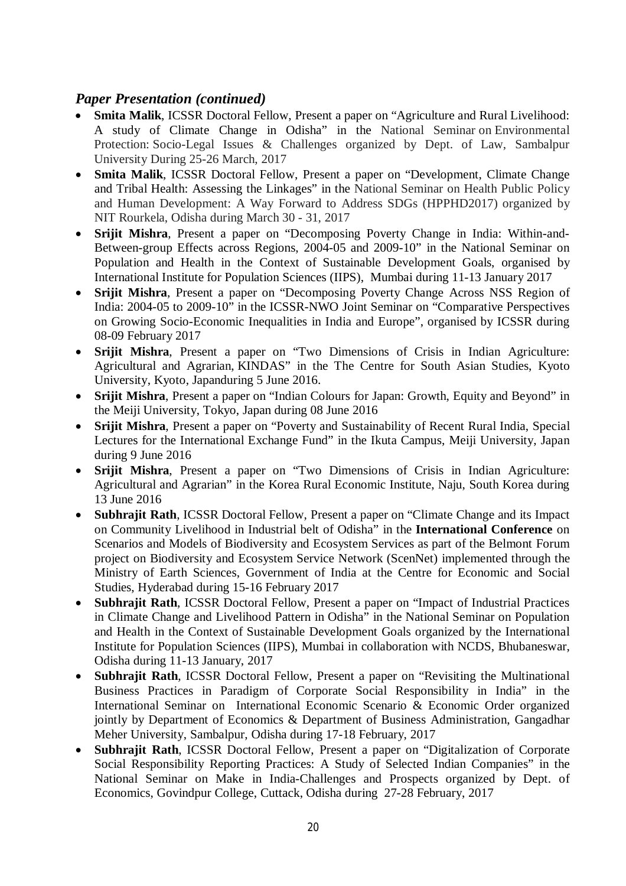## *Paper Presentation (continued)*

- **Smita Malik**, ICSSR Doctoral Fellow, Present a paper on "Agriculture and Rural Livelihood: A study of Climate Change in Odisha" in the National Seminar on Environmental Protection: Socio-Legal Issues & Challenges organized by Dept. of Law, Sambalpur University During 25-26 March, 2017
- **Smita Malik**, ICSSR Doctoral Fellow, Present a paper on "Development, Climate Change and Tribal Health: Assessing the Linkages" in the National Seminar on Health Public Policy and Human Development: A Way Forward to Address SDGs (HPPHD2017) organized by NIT Rourkela, Odisha during March 30 - 31, 2017
- **Srijit Mishra**, Present a paper on "Decomposing Poverty Change in India: Within-and-Between-group Effects across Regions, 2004-05 and 2009-10" in the National Seminar on Population and Health in the Context of Sustainable Development Goals, organised by International Institute for Population Sciences (IIPS), Mumbai during 11-13 January 2017
- **Srijit Mishra**, Present a paper on "Decomposing Poverty Change Across NSS Region of India: 2004-05 to 2009-10" in the ICSSR-NWO Joint Seminar on "Comparative Perspectives on Growing Socio-Economic Inequalities in India and Europe", organised by ICSSR during 08-09 February 2017
- **Srijit Mishra**, Present a paper on "Two Dimensions of Crisis in Indian Agriculture: Agricultural and Agrarian, KINDAS" in the The Centre for South Asian Studies, Kyoto University, Kyoto, Japanduring 5 June 2016.
- **Srijit Mishra**, Present a paper on "Indian Colours for Japan: Growth, Equity and Beyond" in the Meiji University, Tokyo, Japan during 08 June 2016
- **Srijit Mishra**, Present a paper on "Poverty and Sustainability of Recent Rural India, Special Lectures for the International Exchange Fund" in the Ikuta Campus, Meiji University, Japan during 9 June 2016
- **Srijit Mishra**, Present a paper on "Two Dimensions of Crisis in Indian Agriculture: Agricultural and Agrarian" in the Korea Rural Economic Institute, Naju, South Korea during 13 June 2016
- **Subhrajit Rath**, ICSSR Doctoral Fellow, Present a paper on "Climate Change and its Impact on Community Livelihood in Industrial belt of Odisha" in the **International Conference** on Scenarios and Models of Biodiversity and Ecosystem Services as part of the Belmont Forum project on Biodiversity and Ecosystem Service Network (ScenNet) implemented through the Ministry of Earth Sciences, Government of India at the Centre for Economic and Social Studies, Hyderabad during 15-16 February 2017
- **Subhrajit Rath**, ICSSR Doctoral Fellow, Present a paper on "Impact of Industrial Practices in Climate Change and Livelihood Pattern in Odisha" in the National Seminar on Population and Health in the Context of Sustainable Development Goals organized by the International Institute for Population Sciences (IIPS), Mumbai in collaboration with NCDS, Bhubaneswar, Odisha during 11-13 January, 2017
- **Subhrajit Rath**, ICSSR Doctoral Fellow, Present a paper on "Revisiting the Multinational Business Practices in Paradigm of Corporate Social Responsibility in India" in the International Seminar on International Economic Scenario & Economic Order organized jointly by Department of Economics & Department of Business Administration, Gangadhar Meher University, Sambalpur, Odisha during 17-18 February, 2017
- **Subhrajit Rath**, ICSSR Doctoral Fellow, Present a paper on "Digitalization of Corporate Social Responsibility Reporting Practices: A Study of Selected Indian Companies" in the National Seminar on Make in India-Challenges and Prospects organized by Dept. of Economics, Govindpur College, Cuttack, Odisha during 27-28 February, 2017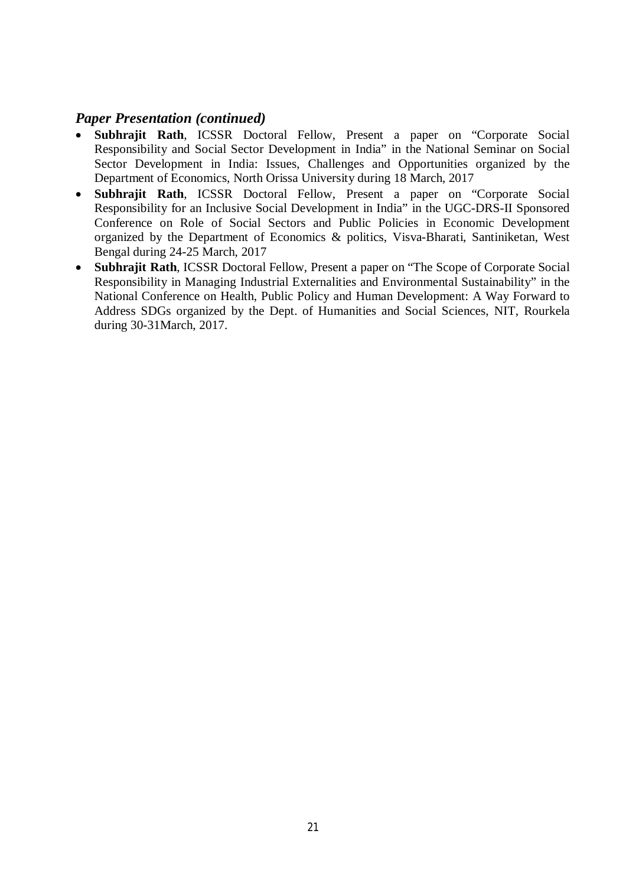#### *Paper Presentation (continued)*

- **Subhrajit Rath**, ICSSR Doctoral Fellow, Present a paper on "Corporate Social Responsibility and Social Sector Development in India" in the National Seminar on Social Sector Development in India: Issues, Challenges and Opportunities organized by the Department of Economics, North Orissa University during 18 March, 2017
- **Subhrajit Rath**, ICSSR Doctoral Fellow, Present a paper on "Corporate Social Responsibility for an Inclusive Social Development in India" in the UGC-DRS-II Sponsored Conference on Role of Social Sectors and Public Policies in Economic Development organized by the Department of Economics & politics, Visva-Bharati, Santiniketan, West Bengal during 24-25 March, 2017
- **Subhrajit Rath**, ICSSR Doctoral Fellow, Present a paper on "The Scope of Corporate Social Responsibility in Managing Industrial Externalities and Environmental Sustainability" in the National Conference on Health, Public Policy and Human Development: A Way Forward to Address SDGs organized by the Dept. of Humanities and Social Sciences, NIT, Rourkela during 30-31March, 2017.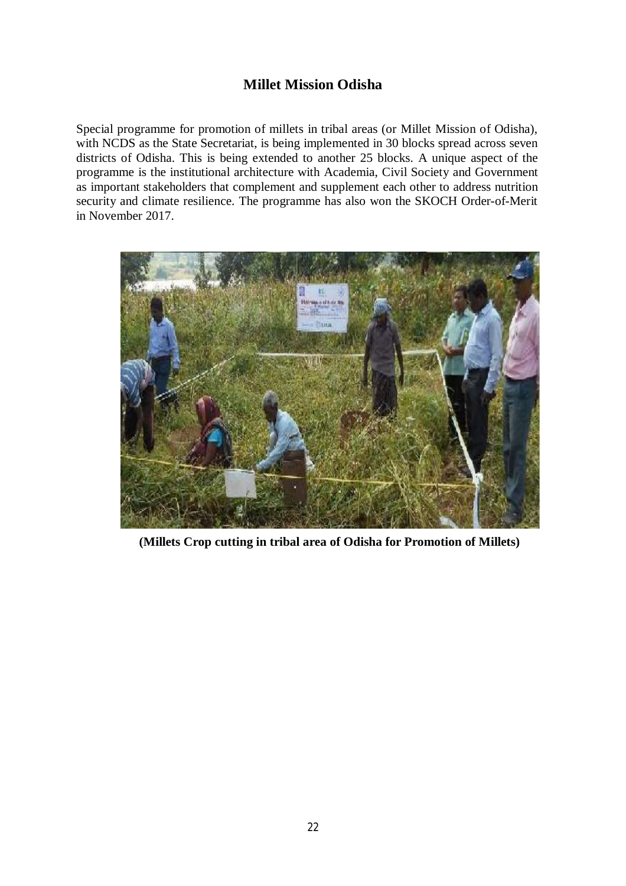## **Millet Mission Odisha**

Special programme for promotion of millets in tribal areas (or Millet Mission of Odisha), with NCDS as the State Secretariat, is being implemented in 30 blocks spread across seven districts of Odisha. This is being extended to another 25 blocks. A unique aspect of the programme is the institutional architecture with Academia, Civil Society and Government as important stakeholders that complement and supplement each other to address nutrition security and climate resilience. The programme has also won the SKOCH Order-of-Merit in November 2017.



**(Millets Crop cutting in tribal area of Odisha for Promotion of Millets)**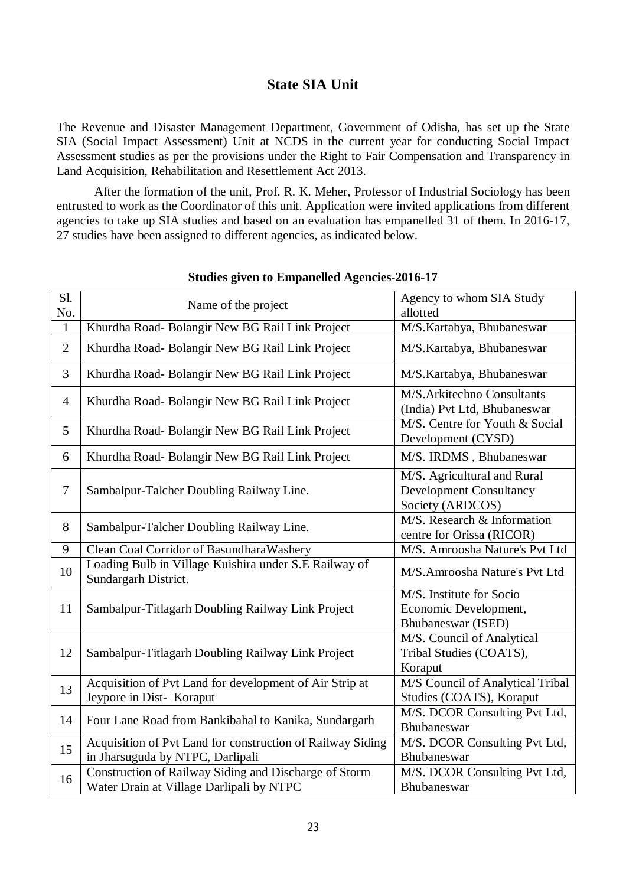#### **State SIA Unit**

The Revenue and Disaster Management Department, Government of Odisha, has set up the State SIA (Social Impact Assessment) Unit at NCDS in the current year for conducting Social Impact Assessment studies as per the provisions under the Right to Fair Compensation and Transparency in Land Acquisition, Rehabilitation and Resettlement Act 2013.

After the formation of the unit, Prof. R. K. Meher, Professor of Industrial Sociology has been entrusted to work as the Coordinator of this unit. Application were invited applications from different agencies to take up SIA studies and based on an evaluation has empanelled 31 of them. In 2016-17, 27 studies have been assigned to different agencies, as indicated below.

| S1.<br>No.     | Name of the project                                                                               | Agency to whom SIA Study<br>allotted                                              |
|----------------|---------------------------------------------------------------------------------------------------|-----------------------------------------------------------------------------------|
| $\mathbf{1}$   | Khurdha Road- Bolangir New BG Rail Link Project                                                   | M/S.Kartabya, Bhubaneswar                                                         |
| $\overline{2}$ | Khurdha Road- Bolangir New BG Rail Link Project                                                   | M/S.Kartabya, Bhubaneswar                                                         |
| 3              | Khurdha Road- Bolangir New BG Rail Link Project                                                   | M/S.Kartabya, Bhubaneswar                                                         |
| $\overline{4}$ | Khurdha Road- Bolangir New BG Rail Link Project                                                   | M/S.Arkitechno Consultants<br>(India) Pvt Ltd, Bhubaneswar                        |
| 5              | Khurdha Road- Bolangir New BG Rail Link Project                                                   | M/S. Centre for Youth & Social<br>Development (CYSD)                              |
| 6              | Khurdha Road- Bolangir New BG Rail Link Project                                                   | M/S. IRDMS, Bhubaneswar                                                           |
| $\overline{7}$ | Sambalpur-Talcher Doubling Railway Line.                                                          | M/S. Agricultural and Rural<br><b>Development Consultancy</b><br>Society (ARDCOS) |
| 8              | Sambalpur-Talcher Doubling Railway Line.                                                          | M/S. Research & Information<br>centre for Orissa (RICOR)                          |
| 9              | Clean Coal Corridor of Basundhara Washery                                                         | M/S. Amroosha Nature's Pvt Ltd                                                    |
| 10             | Loading Bulb in Village Kuishira under S.E Railway of<br>Sundargarh District.                     | M/S.Amroosha Nature's Pvt Ltd                                                     |
| 11             | Sambalpur-Titlagarh Doubling Railway Link Project                                                 | M/S. Institute for Socio<br>Economic Development,<br>Bhubaneswar (ISED)           |
| 12             | Sambalpur-Titlagarh Doubling Railway Link Project                                                 | M/S. Council of Analytical<br>Tribal Studies (COATS),<br>Koraput                  |
| 13             | Acquisition of Pvt Land for development of Air Strip at<br>Jeypore in Dist- Koraput               | M/S Council of Analytical Tribal<br>Studies (COATS), Koraput                      |
| 14             | Four Lane Road from Bankibahal to Kanika, Sundargarh                                              | M/S. DCOR Consulting Pvt Ltd,<br>Bhubaneswar                                      |
| 15             | Acquisition of Pvt Land for construction of Railway Siding<br>in Jharsuguda by NTPC, Darlipali    | M/S. DCOR Consulting Pvt Ltd,<br>Bhubaneswar                                      |
| 16             | Construction of Railway Siding and Discharge of Storm<br>Water Drain at Village Darlipali by NTPC | M/S. DCOR Consulting Pvt Ltd,<br>Bhubaneswar                                      |

#### **Studies given to Empanelled Agencies-2016-17**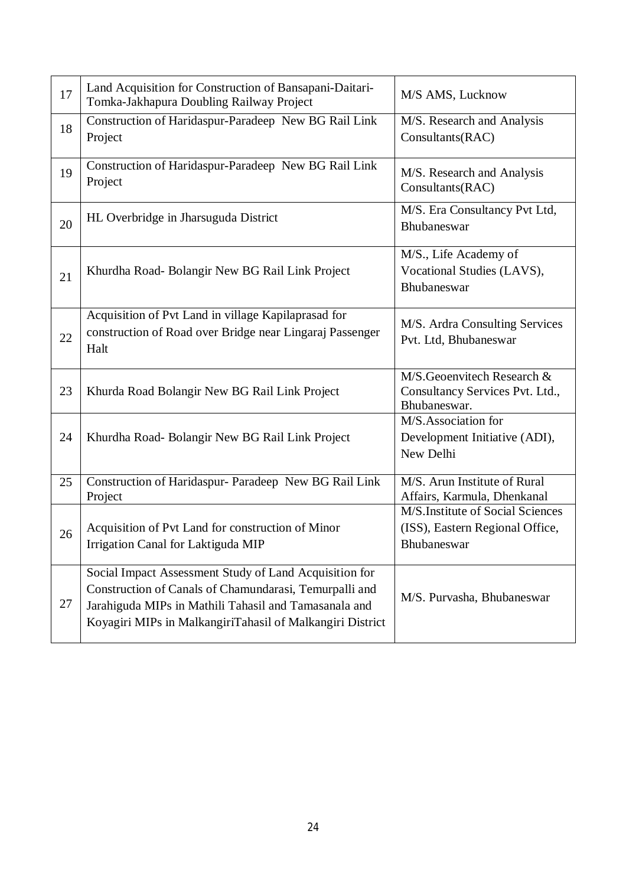| 17 | Land Acquisition for Construction of Bansapani-Daitari-<br>Tomka-Jakhapura Doubling Railway Project                                                                                                                                    | M/S AMS, Lucknow                                                                   |
|----|----------------------------------------------------------------------------------------------------------------------------------------------------------------------------------------------------------------------------------------|------------------------------------------------------------------------------------|
| 18 | Construction of Haridaspur-Paradeep New BG Rail Link<br>Project                                                                                                                                                                        | M/S. Research and Analysis<br>Consultants(RAC)                                     |
| 19 | Construction of Haridaspur-Paradeep New BG Rail Link<br>Project                                                                                                                                                                        | M/S. Research and Analysis<br>Consultants(RAC)                                     |
| 20 | HL Overbridge in Jharsuguda District                                                                                                                                                                                                   | M/S. Era Consultancy Pvt Ltd,<br>Bhubaneswar                                       |
| 21 | Khurdha Road- Bolangir New BG Rail Link Project                                                                                                                                                                                        | M/S., Life Academy of<br>Vocational Studies (LAVS),<br>Bhubaneswar                 |
| 22 | Acquisition of Pvt Land in village Kapilaprasad for<br>construction of Road over Bridge near Lingaraj Passenger<br>Halt                                                                                                                | M/S. Ardra Consulting Services<br>Pvt. Ltd, Bhubaneswar                            |
| 23 | Khurda Road Bolangir New BG Rail Link Project                                                                                                                                                                                          | M/S.Geoenvitech Research &<br>Consultancy Services Pvt. Ltd.,<br>Bhubaneswar.      |
| 24 | Khurdha Road-Bolangir New BG Rail Link Project                                                                                                                                                                                         | M/S.Association for<br>Development Initiative (ADI),<br>New Delhi                  |
| 25 | Construction of Haridaspur- Paradeep New BG Rail Link<br>Project                                                                                                                                                                       | M/S. Arun Institute of Rural<br>Affairs, Karmula, Dhenkanal                        |
| 26 | Acquisition of Pvt Land for construction of Minor<br>Irrigation Canal for Laktiguda MIP                                                                                                                                                | M/S.Institute of Social Sciences<br>(ISS), Eastern Regional Office,<br>Bhubaneswar |
| 27 | Social Impact Assessment Study of Land Acquisition for<br>Construction of Canals of Chamundarasi, Temurpalli and<br>Jarahiguda MIPs in Mathili Tahasil and Tamasanala and<br>Koyagiri MIPs in MalkangiriTahasil of Malkangiri District | M/S. Purvasha, Bhubaneswar                                                         |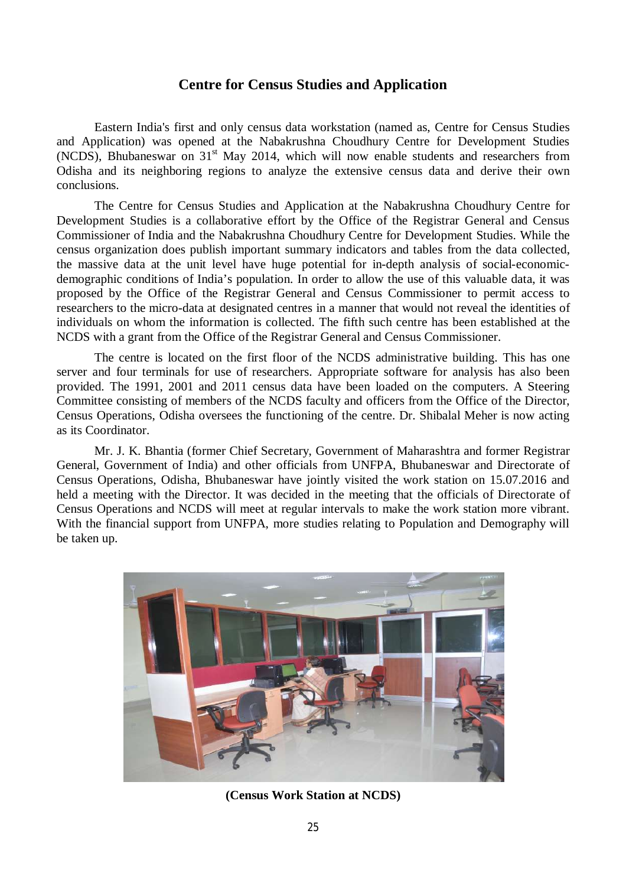#### **Centre for Census Studies and Application**

Eastern India's first and only census data workstation (named as, Centre for Census Studies and Application) was opened at the Nabakrushna Choudhury Centre for Development Studies  $(NCDS)$ , Bhubaneswar on 31<sup>st</sup> May 2014, which will now enable students and researchers from Odisha and its neighboring regions to analyze the extensive census data and derive their own conclusions.

The Centre for Census Studies and Application at the Nabakrushna Choudhury Centre for Development Studies is a collaborative effort by the Office of the Registrar General and Census Commissioner of India and the Nabakrushna Choudhury Centre for Development Studies. While the census organization does publish important summary indicators and tables from the data collected, the massive data at the unit level have huge potential for in-depth analysis of social-economicdemographic conditions of India's population. In order to allow the use of this valuable data, it was proposed by the Office of the Registrar General and Census Commissioner to permit access to researchers to the micro-data at designated centres in a manner that would not reveal the identities of individuals on whom the information is collected. The fifth such centre has been established at the NCDS with a grant from the Office of the Registrar General and Census Commissioner.

The centre is located on the first floor of the NCDS administrative building. This has one server and four terminals for use of researchers. Appropriate software for analysis has also been provided. The 1991, 2001 and 2011 census data have been loaded on the computers. A Steering Committee consisting of members of the NCDS faculty and officers from the Office of the Director, Census Operations, Odisha oversees the functioning of the centre. Dr. Shibalal Meher is now acting as its Coordinator.

Mr. J. K. Bhantia (former Chief Secretary, Government of Maharashtra and former Registrar General, Government of India) and other officials from UNFPA, Bhubaneswar and Directorate of Census Operations, Odisha, Bhubaneswar have jointly visited the work station on 15.07.2016 and held a meeting with the Director. It was decided in the meeting that the officials of Directorate of Census Operations and NCDS will meet at regular intervals to make the work station more vibrant. With the financial support from UNFPA, more studies relating to Population and Demography will be taken up.



**(Census Work Station at NCDS)**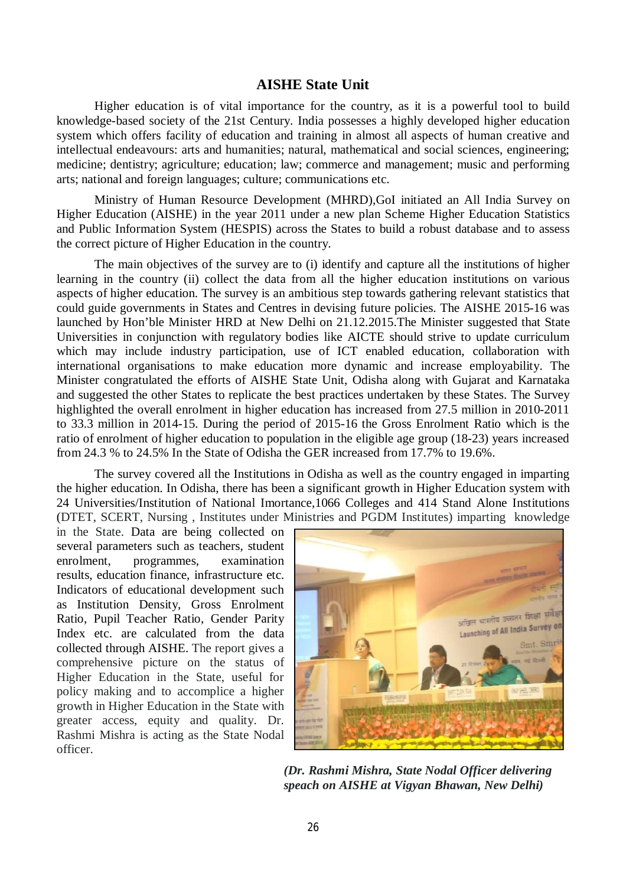#### **AISHE State Unit**

Higher education is of vital importance for the country, as it is a powerful tool to build knowledge-based society of the 21st Century. India possesses a highly developed higher education system which offers facility of education and training in almost all aspects of human creative and intellectual endeavours: arts and humanities; natural, mathematical and social sciences, engineering; medicine; dentistry; agriculture; education; law; commerce and management; music and performing arts; national and foreign languages; culture; communications etc.

Ministry of Human Resource Development (MHRD),GoI initiated an All India Survey on Higher Education (AISHE) in the year 2011 under a new plan Scheme Higher Education Statistics and Public Information System (HESPIS) across the States to build a robust database and to assess the correct picture of Higher Education in the country.

The main objectives of the survey are to (i) identify and capture all the institutions of higher learning in the country (ii) collect the data from all the higher education institutions on various aspects of higher education. The survey is an ambitious step towards gathering relevant statistics that could guide governments in States and Centres in devising future policies. The AISHE 2015-16 was launched by Hon'ble Minister HRD at New Delhi on 21.12.2015.The Minister suggested that State Universities in conjunction with regulatory bodies like AICTE should strive to update curriculum which may include industry participation, use of ICT enabled education, collaboration with international organisations to make education more dynamic and increase employability. The Minister congratulated the efforts of AISHE State Unit, Odisha along with Gujarat and Karnataka and suggested the other States to replicate the best practices undertaken by these States. The Survey highlighted the overall enrolment in higher education has increased from 27.5 million in 2010-2011 to 33.3 million in 2014-15. During the period of 2015-16 the Gross Enrolment Ratio which is the ratio of enrolment of higher education to population in the eligible age group (18-23) years increased from 24.3 % to 24.5% In the State of Odisha the GER increased from 17.7% to 19.6%.

The survey covered all the Institutions in Odisha as well as the country engaged in imparting the higher education. In Odisha, there has been a significant growth in Higher Education system with 24 Universities/Institution of National Imortance,1066 Colleges and 414 Stand Alone Institutions (DTET, SCERT, Nursing , Institutes under Ministries and PGDM Institutes) imparting knowledge

in the State. Data are being collected on several parameters such as teachers, student enrolment, programmes, examination results, education finance, infrastructure etc. Indicators of educational development such as Institution Density, Gross Enrolment Ratio, Pupil Teacher Ratio, Gender Parity Index etc. are calculated from the data collected through AISHE. The report gives a comprehensive picture on the status of Higher Education in the State, useful for policy making and to accomplice a higher growth in Higher Education in the State with greater access, equity and quality. Dr. Rashmi Mishra is acting as the State Nodal officer.



*(Dr. Rashmi Mishra, State Nodal Officer delivering speach on AISHE at Vigyan Bhawan, New Delhi)*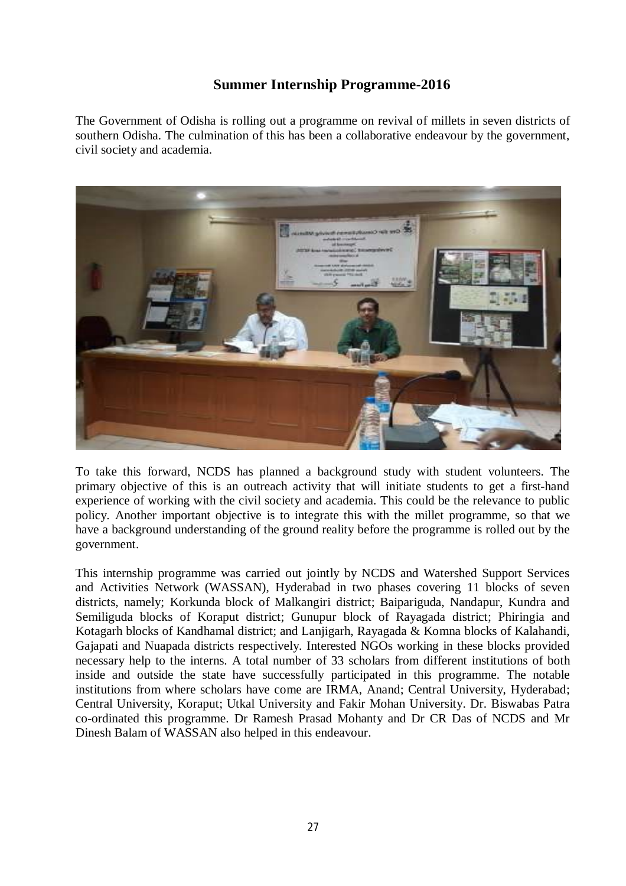## **Summer Internship Programme-2016**

The Government of Odisha is rolling out a programme on revival of millets in seven districts of southern Odisha. The culmination of this has been a collaborative endeavour by the government, civil society and academia.



To take this forward, NCDS has planned a background study with student volunteers. The primary objective of this is an outreach activity that will initiate students to get a first-hand experience of working with the civil society and academia. This could be the relevance to public policy. Another important objective is to integrate this with the millet programme, so that we have a background understanding of the ground reality before the programme is rolled out by the government.

This internship programme was carried out jointly by NCDS and Watershed Support Services and Activities Network (WASSAN), Hyderabad in two phases covering 11 blocks of seven districts, namely; Korkunda block of Malkangiri district; Baipariguda, Nandapur, Kundra and Semiliguda blocks of Koraput district; Gunupur block of Rayagada district; Phiringia and Kotagarh blocks of Kandhamal district; and Lanjigarh, Rayagada & Komna blocks of Kalahandi, Gajapati and Nuapada districts respectively. Interested NGOs working in these blocks provided necessary help to the interns. A total number of 33 scholars from different institutions of both inside and outside the state have successfully participated in this programme. The notable institutions from where scholars have come are IRMA, Anand; Central University, Hyderabad; Central University, Koraput; Utkal University and Fakir Mohan University. Dr. Biswabas Patra co-ordinated this programme. Dr Ramesh Prasad Mohanty and Dr CR Das of NCDS and Mr Dinesh Balam of WASSAN also helped in this endeavour.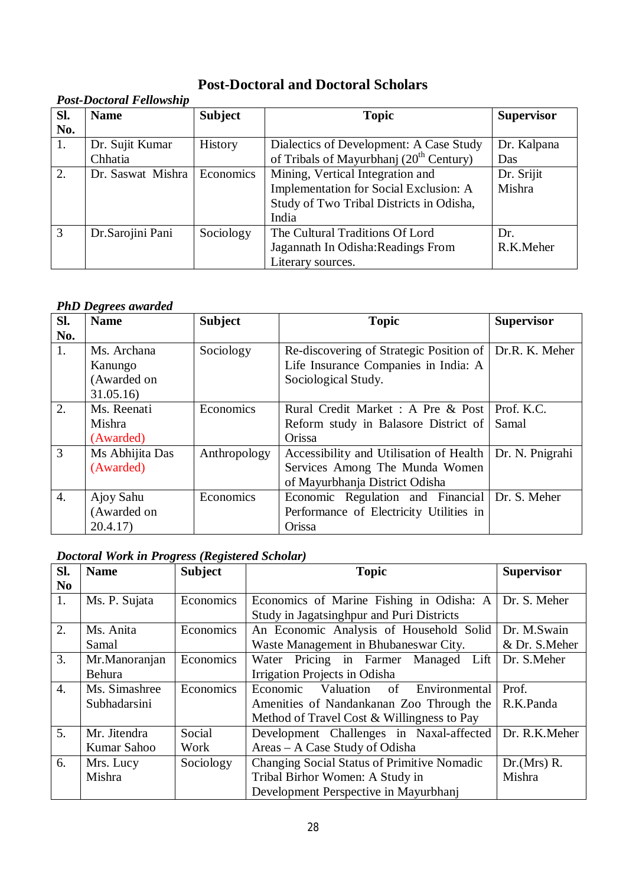## **Post-Doctoral and Doctoral Scholars**

## *Post-Doctoral Fellowship*

| Sl. | <b>Name</b>       | <b>Subject</b> | <b>Topic</b>                                        | <b>Supervisor</b> |
|-----|-------------------|----------------|-----------------------------------------------------|-------------------|
| No. |                   |                |                                                     |                   |
| 1.  | Dr. Sujit Kumar   | History        | Dialectics of Development: A Case Study             | Dr. Kalpana       |
|     | Chhatia           |                | of Tribals of Mayurbhanj (20 <sup>th</sup> Century) | Das               |
| 2.  | Dr. Saswat Mishra | Economics      | Mining, Vertical Integration and                    | Dr. Srijit        |
|     |                   |                | Implementation for Social Exclusion: A              | Mishra            |
|     |                   |                | Study of Two Tribal Districts in Odisha,            |                   |
|     |                   |                | India                                               |                   |
| 3   | Dr. Sarojini Pani | Sociology      | The Cultural Traditions Of Lord                     | Dr.               |
|     |                   |                | Jagannath In Odisha: Readings From                  | R.K.Meher         |
|     |                   |                | Literary sources.                                   |                   |

#### *PhD Degrees awarded*

| SI.              | <b>Name</b>     | <b>Subject</b> | <b>Topic</b>                                   | <b>Supervisor</b> |
|------------------|-----------------|----------------|------------------------------------------------|-------------------|
| No.              |                 |                |                                                |                   |
| 1.               | Ms. Archana     | Sociology      | Re-discovering of Strategic Position of        | Dr.R. K. Meher    |
|                  | Kanungo         |                | Life Insurance Companies in India: A           |                   |
|                  | (Awarded on     |                | Sociological Study.                            |                   |
|                  | 31.05.16        |                |                                                |                   |
| $\overline{2}$ . | Ms. Reenati     | Economics      | Rural Credit Market: A Pre & Post   Prof. K.C. |                   |
|                  | Mishra          |                | Reform study in Balasore District of Samal     |                   |
|                  | (Awarded)       |                | Orissa                                         |                   |
| 3                | Ms Abhijita Das | Anthropology   | Accessibility and Utilisation of Health        | Dr. N. Pnigrahi   |
|                  | (Awarded)       |                | Services Among The Munda Women                 |                   |
|                  |                 |                | of Mayurbhanja District Odisha                 |                   |
| 4.               | Ajoy Sahu       | Economics      | Economic Regulation and Financial Dr. S. Meher |                   |
|                  | (Awarded on     |                | Performance of Electricity Utilities in        |                   |
|                  | 20.4.17         |                | Orissa                                         |                   |

## *Doctoral Work in Progress (Registered Scholar)*

| Sl.              | <b>Name</b>   | <b>Subject</b> | <b>Topic</b>                                      | <b>Supervisor</b> |
|------------------|---------------|----------------|---------------------------------------------------|-------------------|
| N <sub>o</sub>   |               |                |                                                   |                   |
| 1.               | Ms. P. Sujata | Economics      | Economics of Marine Fishing in Odisha: A          | Dr. S. Meher      |
|                  |               |                | Study in Jagatsinghpur and Puri Districts         |                   |
| 2.               | Ms. Anita     | Economics      | An Economic Analysis of Household Solid           | Dr. M.Swain       |
|                  | Samal         |                | Waste Management in Bhubaneswar City.             | & Dr. S.Meher     |
| 3.               | Mr.Manoranjan | Economics      | Water Pricing in Farmer Managed Lift              | Dr. S.Meher       |
|                  | Behura        |                | Irrigation Projects in Odisha                     |                   |
| $\overline{4}$ . | Ms. Simashree | Economics      | Economic Valuation<br>$\circ$ of<br>Environmental | Prof.             |
|                  | Subhadarsini  |                | Amenities of Nandankanan Zoo Through the          | R.K.Panda         |
|                  |               |                | Method of Travel Cost & Willingness to Pay        |                   |
| 5.               | Mr. Jitendra  | Social         | Development Challenges in Naxal-affected          | Dr. R.K.Meher     |
|                  | Kumar Sahoo   | Work           | Areas – A Case Study of Odisha                    |                   |
| 6.               | Mrs. Lucy     | Sociology      | Changing Social Status of Primitive Nomadic       | Dr.(Mrs) R.       |
|                  | Mishra        |                | Tribal Birhor Women: A Study in                   | Mishra            |
|                  |               |                | Development Perspective in Mayurbhanj             |                   |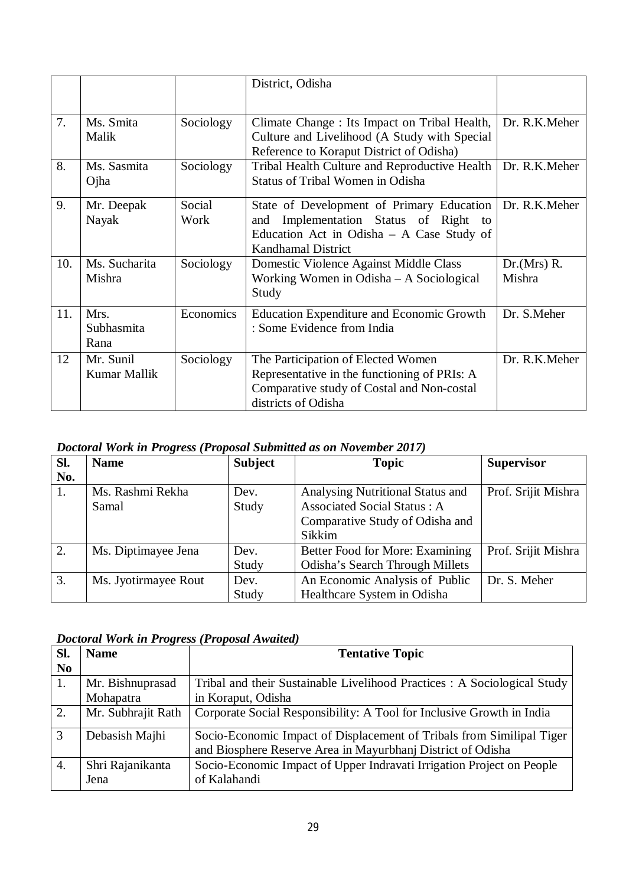|     |                            |                | District, Odisha                                                                                                                                                |                       |
|-----|----------------------------|----------------|-----------------------------------------------------------------------------------------------------------------------------------------------------------------|-----------------------|
| 7.  | Ms. Smita<br>Malik         | Sociology      | Climate Change : Its Impact on Tribal Health,<br>Culture and Livelihood (A Study with Special<br>Reference to Koraput District of Odisha)                       | Dr. R.K.Meher         |
| 8.  | Ms. Sasmita<br>Ojha        | Sociology      | Tribal Health Culture and Reproductive Health<br><b>Status of Tribal Women in Odisha</b>                                                                        | Dr. R.K.Meher         |
| 9.  | Mr. Deepak<br>Nayak        | Social<br>Work | State of Development of Primary Education<br>Implementation Status of Right to<br>and<br>Education Act in Odisha - A Case Study of<br><b>Kandhamal District</b> | Dr. R.K.Meher         |
| 10. | Ms. Sucharita<br>Mishra    | Sociology      | Domestic Violence Against Middle Class<br>Working Women in Odisha – A Sociological<br>Study                                                                     | Dr.(Mrs) R.<br>Mishra |
| 11. | Mrs.<br>Subhasmita<br>Rana | Economics      | <b>Education Expenditure and Economic Growth</b><br>: Some Evidence from India                                                                                  | Dr. S.Meher           |
| 12  | Mr. Sunil<br>Kumar Mallik  | Sociology      | The Participation of Elected Women<br>Representative in the functioning of PRIs: A<br>Comparative study of Costal and Non-costal<br>districts of Odisha         | Dr. R.K.Meher         |

| Doctoral Work in Progress (Proposal Submitted as on November 2017) |
|--------------------------------------------------------------------|
|--------------------------------------------------------------------|

| Sl. | <b>Name</b>          | <b>Subject</b> | <b>Topic</b>                       | <b>Supervisor</b>   |
|-----|----------------------|----------------|------------------------------------|---------------------|
| No. |                      |                |                                    |                     |
| 1.  | Ms. Rashmi Rekha     | Dev.           | Analysing Nutritional Status and   | Prof. Srijit Mishra |
|     | Samal                | Study          | <b>Associated Social Status: A</b> |                     |
|     |                      |                | Comparative Study of Odisha and    |                     |
|     |                      |                | Sikkim                             |                     |
| 2.  | Ms. Diptimayee Jena  | Dev.           | Better Food for More: Examining    | Prof. Srijit Mishra |
|     |                      | Study          | Odisha's Search Through Millets    |                     |
| 3.  | Ms. Jyotirmayee Rout | Dev.           | An Economic Analysis of Public     | Dr. S. Meher        |
|     |                      | Study          | Healthcare System in Odisha        |                     |

### *Doctoral Work in Progress (Proposal Awaited)*

| Sl.            | <b>Name</b>        | <b>Tentative Topic</b>                                                  |
|----------------|--------------------|-------------------------------------------------------------------------|
| N <sub>0</sub> |                    |                                                                         |
| 1.             | Mr. Bishnuprasad   | Tribal and their Sustainable Livelihood Practices: A Sociological Study |
|                | Mohapatra          | in Koraput, Odisha                                                      |
| 2.             | Mr. Subhrajit Rath | Corporate Social Responsibility: A Tool for Inclusive Growth in India   |
| 3              | Debasish Majhi     | Socio-Economic Impact of Displacement of Tribals from Similipal Tiger   |
|                |                    | and Biosphere Reserve Area in Mayurbhanj District of Odisha             |
| 4.             | Shri Rajanikanta   | Socio-Economic Impact of Upper Indravati Irrigation Project on People   |
|                | Jena               | of Kalahandi                                                            |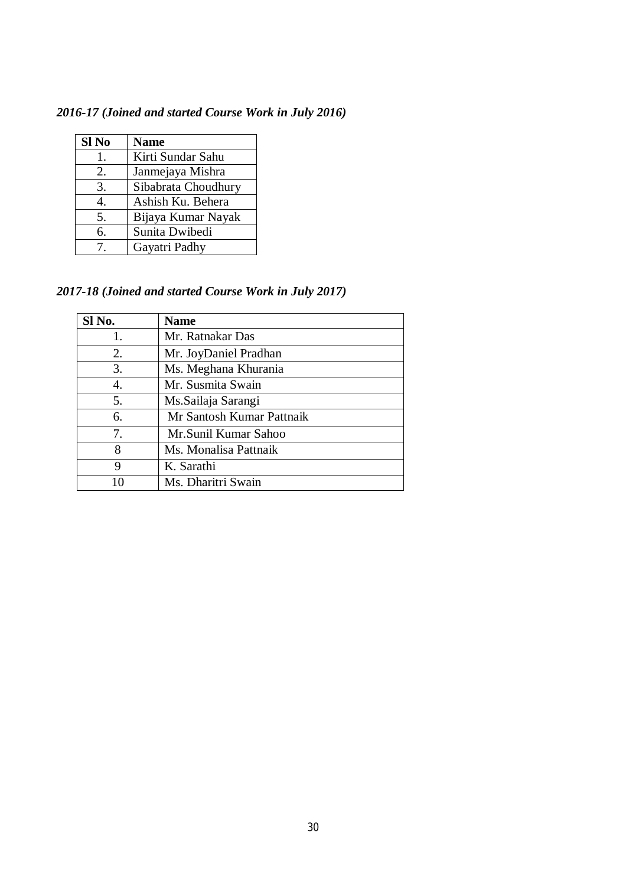*2016-17 (Joined and started Course Work in July 2016)*

| Sl No | <b>Name</b>         |
|-------|---------------------|
| 1.    | Kirti Sundar Sahu   |
| 2.    | Janmejaya Mishra    |
| 3.    | Sibabrata Choudhury |
| 4.    | Ashish Ku. Behera   |
| 5.    | Bijaya Kumar Nayak  |
| 6.    | Sunita Dwibedi      |
| 7.    | Gayatri Padhy       |

*2017-18 (Joined and started Course Work in July 2017)*

| Sl No. | <b>Name</b>               |
|--------|---------------------------|
| 1.     | Mr. Ratnakar Das          |
| 2.     | Mr. JoyDaniel Pradhan     |
| 3.     | Ms. Meghana Khurania      |
| 4.     | Mr. Susmita Swain         |
| 5.     | Ms.Sailaja Sarangi        |
| 6.     | Mr Santosh Kumar Pattnaik |
| 7.     | Mr.Sunil Kumar Sahoo      |
| 8      | Ms. Monalisa Pattnaik     |
| 9      | K. Sarathi                |
|        | Ms. Dharitri Swain        |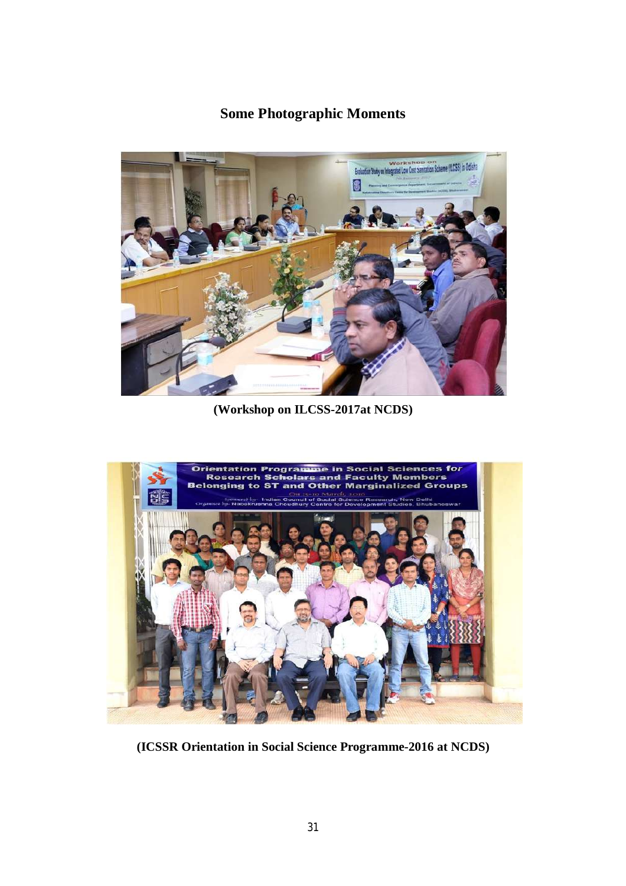# **Some Photographic Moments**



**(Workshop on ILCSS-2017at NCDS)**



**(ICSSR Orientation in Social Science Programme-2016 at NCDS)**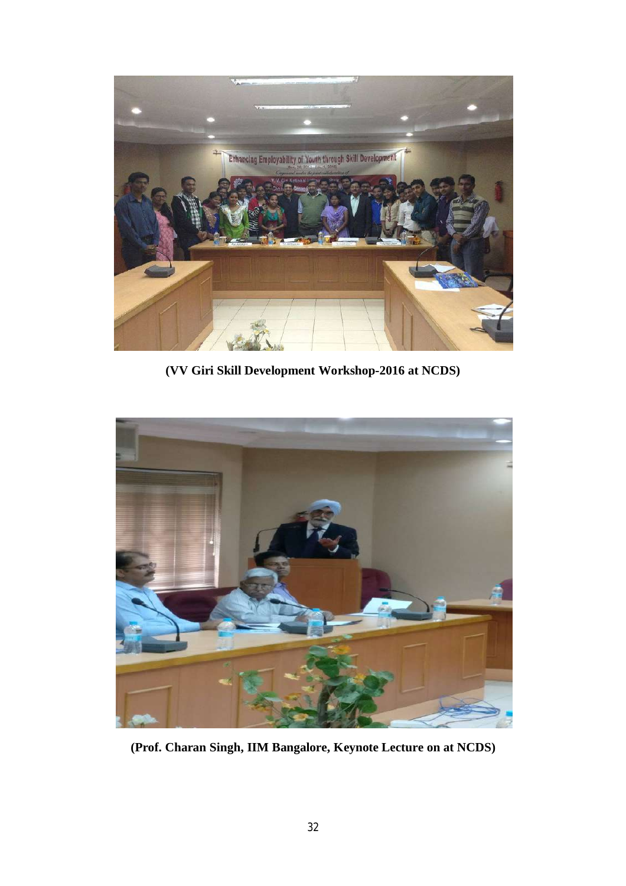

**(VV Giri Skill Development Workshop-2016 at NCDS)**



**(Prof. Charan Singh, IIM Bangalore, Keynote Lecture on at NCDS)**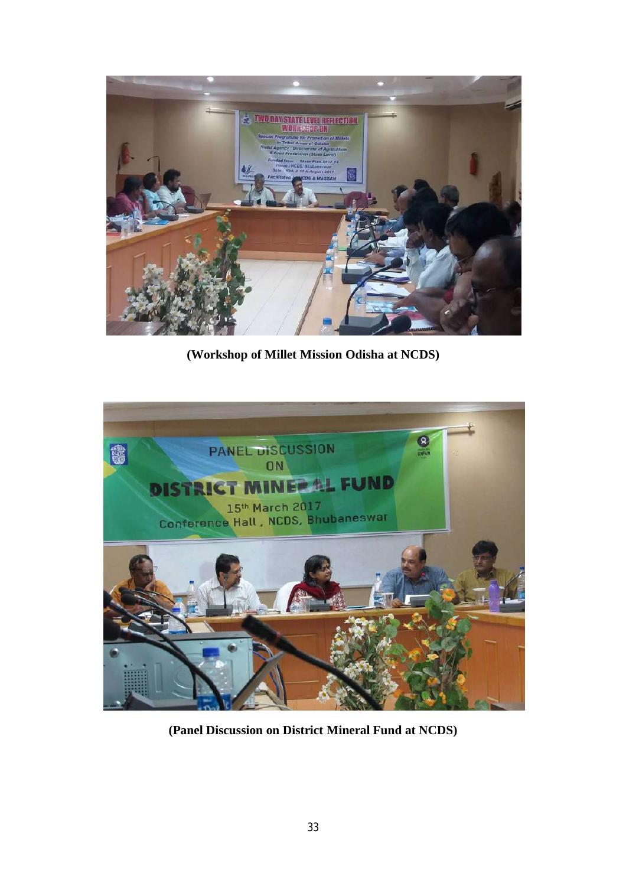

**(Workshop of Millet Mission Odisha at NCDS)**



**(Panel Discussion on District Mineral Fund at NCDS)**